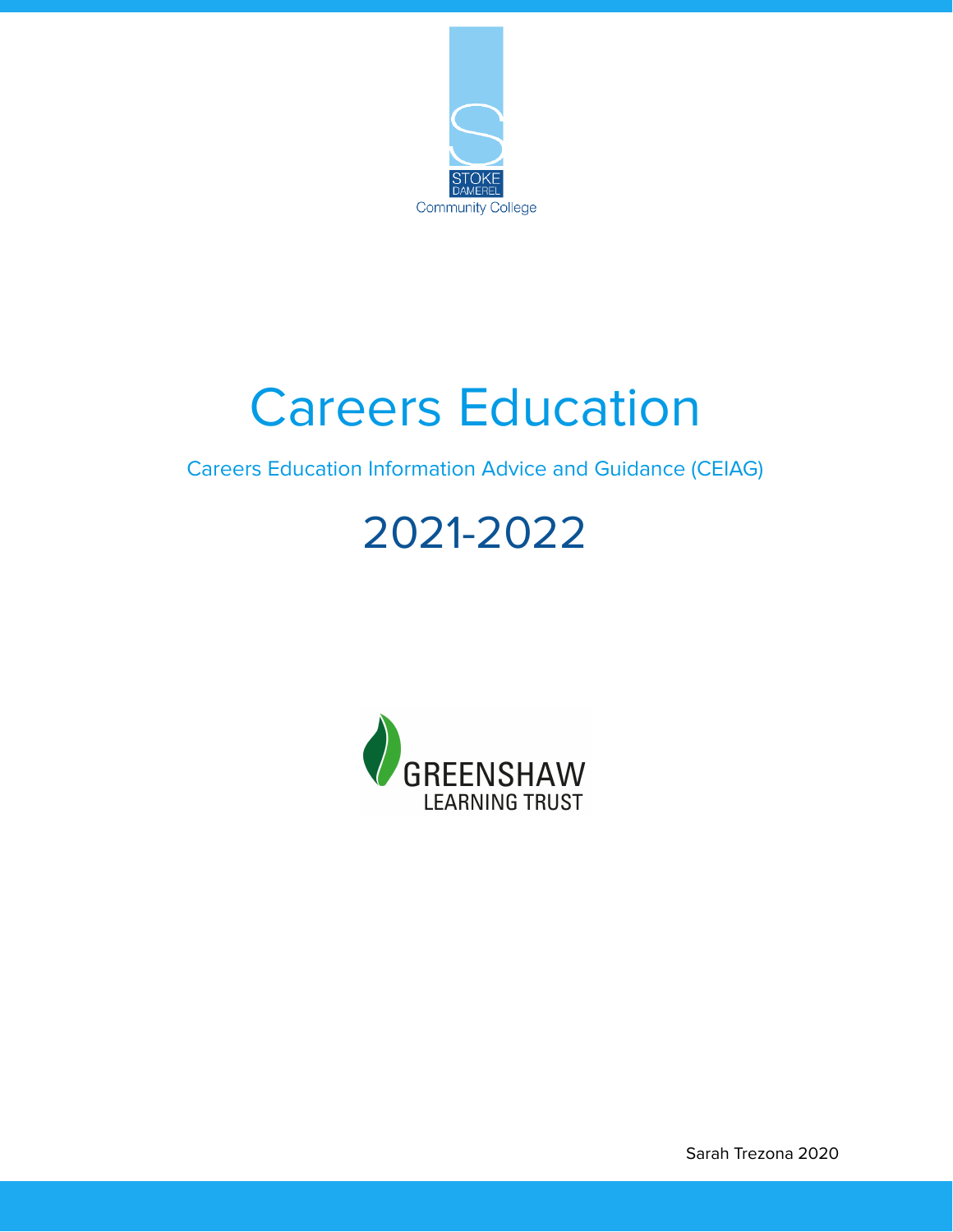

# Careers Education

Careers Education Information Advice and Guidance (CEIAG)

## 2021-2022



Sarah Trezona 2020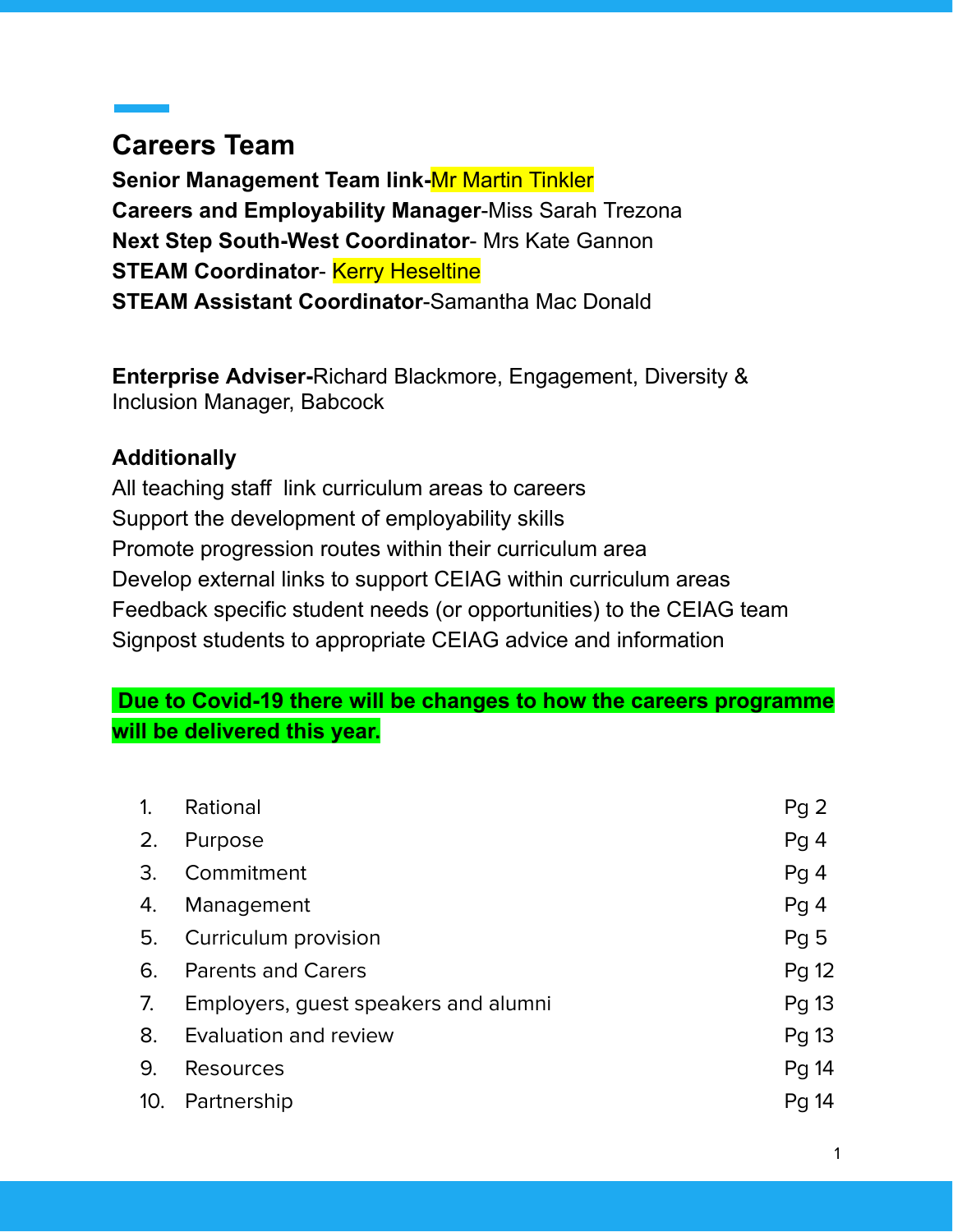## **Careers Team**

**Senior Management Team link-**Mr Martin Tinkler **Careers and Employability Manager**-Miss Sarah Trezona **Next Step South-West Coordinator**- Mrs Kate Gannon **STEAM Coordinator- Kerry Heseltine STEAM Assistant Coordinator**-Samantha Mac Donald

**Enterprise Adviser-**Richard Blackmore, Engagement, Diversity & Inclusion Manager, Babcock

#### **Additionally**

All teaching staff link curriculum areas to careers Support the development of employability skills Promote progression routes within their curriculum area Develop external links to support CEIAG within curriculum areas Feedback specific student needs (or opportunities) to the CEIAG team Signpost students to appropriate CEIAG advice and information

#### **Due to Covid-19 there will be changes to how the careers programme will be delivered this year.**

| 1.  | Rational                             | Pg <sub>2</sub> |
|-----|--------------------------------------|-----------------|
| 2.  | Purpose                              | Pg <sub>4</sub> |
| 3.  | Commitment                           | Pg <sub>4</sub> |
| 4.  | Management                           | Pg <sub>4</sub> |
| 5.  | Curriculum provision                 | Pg <sub>5</sub> |
| 6.  | <b>Parents and Carers</b>            | Pg 12           |
| 7.  | Employers, guest speakers and alumni | Pg 13           |
| 8.  | Evaluation and review                | Pg 13           |
| 9.  | <b>Resources</b>                     | Pg 14           |
| 10. | Partnership                          | Pg 14           |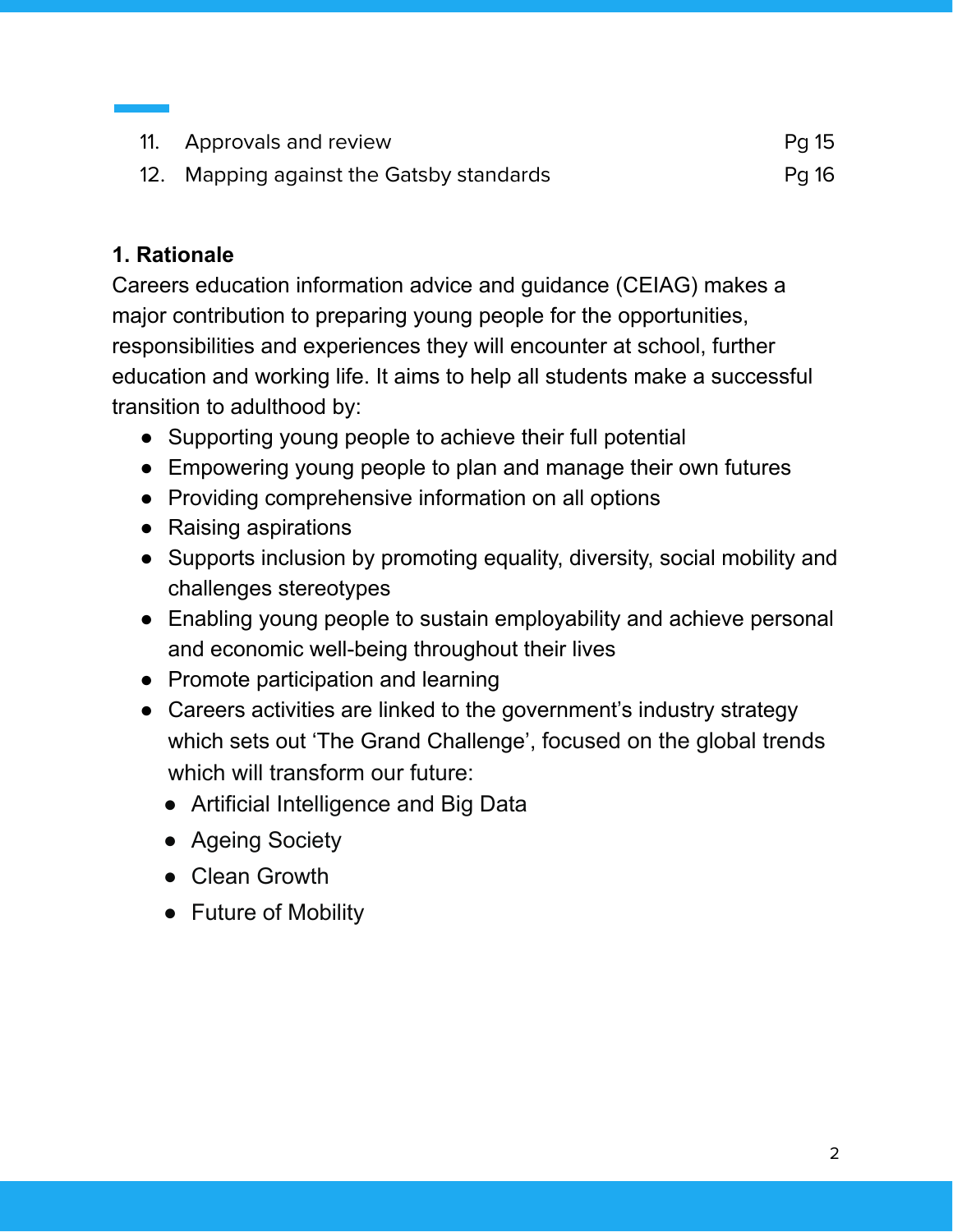| 11. Approvals and review                 | Pg 15 |
|------------------------------------------|-------|
| 12. Mapping against the Gatsby standards | Pg 16 |

## **1. Rationale**

Careers education information advice and guidance (CEIAG) makes a major contribution to preparing young people for the opportunities, responsibilities and experiences they will encounter at school, further education and working life. It aims to help all students make a successful transition to adulthood by:

- Supporting young people to achieve their full potential
- Empowering young people to plan and manage their own futures
- Providing comprehensive information on all options
- Raising aspirations
- Supports inclusion by promoting equality, diversity, social mobility and challenges stereotypes
- Enabling young people to sustain employability and achieve personal and economic well-being throughout their lives
- Promote participation and learning
- Careers activities are linked to the government's industry strategy which sets out 'The Grand Challenge', focused on the global trends which will transform our future:
	- Artificial Intelligence and Big Data
	- Ageing Society
	- Clean Growth
	- Future of Mobility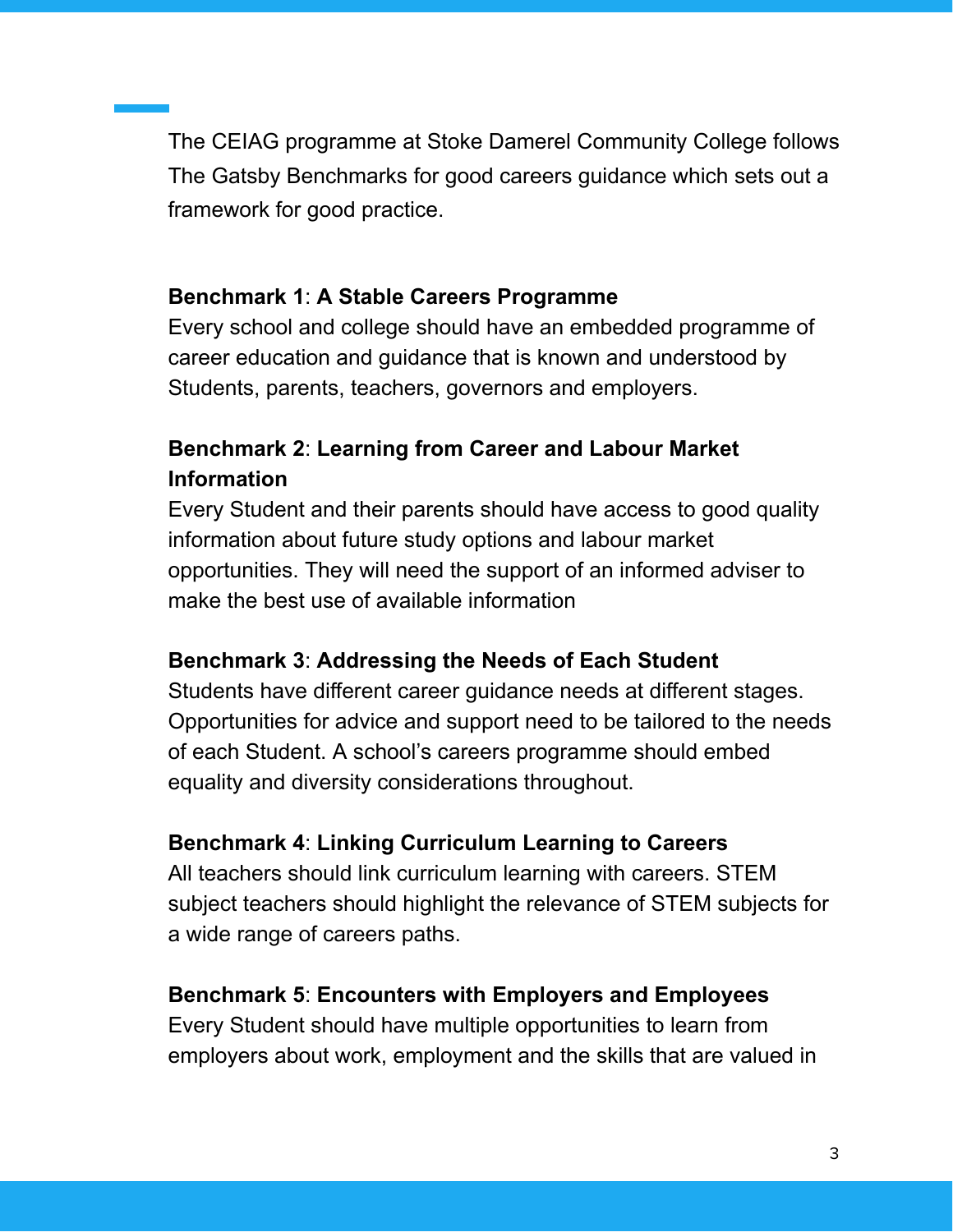The CEIAG programme at Stoke Damerel Community College follows The Gatsby Benchmarks for good careers guidance which sets out a framework for good practice.

#### **Benchmark 1**: **A Stable Careers Programme**

Every school and college should have an embedded programme of career education and guidance that is known and understood by Students, parents, teachers, governors and employers.

## **Benchmark 2**: **Learning from Career and Labour Market Information**

Every Student and their parents should have access to good quality information about future study options and labour market opportunities. They will need the support of an informed adviser to make the best use of available information

## **Benchmark 3**: **Addressing the Needs of Each Student**

Students have different career guidance needs at different stages. Opportunities for advice and support need to be tailored to the needs of each Student. A school's careers programme should embed equality and diversity considerations throughout.

#### **Benchmark 4**: **Linking Curriculum Learning to Careers**

All teachers should link curriculum learning with careers. STEM subject teachers should highlight the relevance of STEM subjects for a wide range of careers paths.

#### **Benchmark 5**: **Encounters with Employers and Employees**

Every Student should have multiple opportunities to learn from employers about work, employment and the skills that are valued in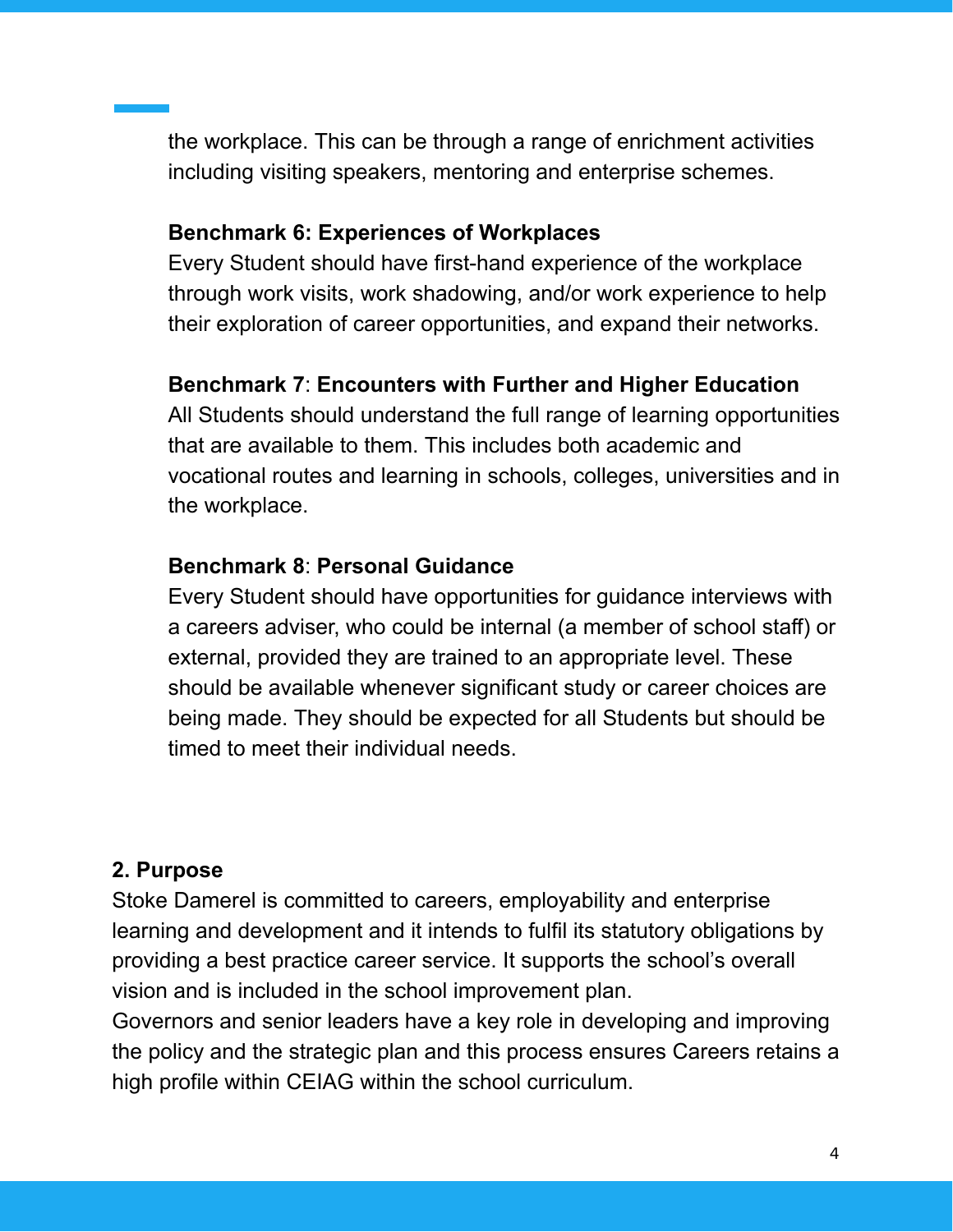the workplace. This can be through a range of enrichment activities including visiting speakers, mentoring and enterprise schemes.

#### **Benchmark 6: Experiences of Workplaces**

Every Student should have first-hand experience of the workplace through work visits, work shadowing, and/or work experience to help their exploration of career opportunities, and expand their networks.

#### **Benchmark 7**: **Encounters with Further and Higher Education**

All Students should understand the full range of learning opportunities that are available to them. This includes both academic and vocational routes and learning in schools, colleges, universities and in the workplace.

#### **Benchmark 8**: **Personal Guidance**

Every Student should have opportunities for guidance interviews with a careers adviser, who could be internal (a member of school staff) or external, provided they are trained to an appropriate level. These should be available whenever significant study or career choices are being made. They should be expected for all Students but should be timed to meet their individual needs.

#### **2. Purpose**

Stoke Damerel is committed to careers, employability and enterprise learning and development and it intends to fulfil its statutory obligations by providing a best practice career service. It supports the school's overall vision and is included in the school improvement plan.

Governors and senior leaders have a key role in developing and improving the policy and the strategic plan and this process ensures Careers retains a high profile within CEIAG within the school curriculum.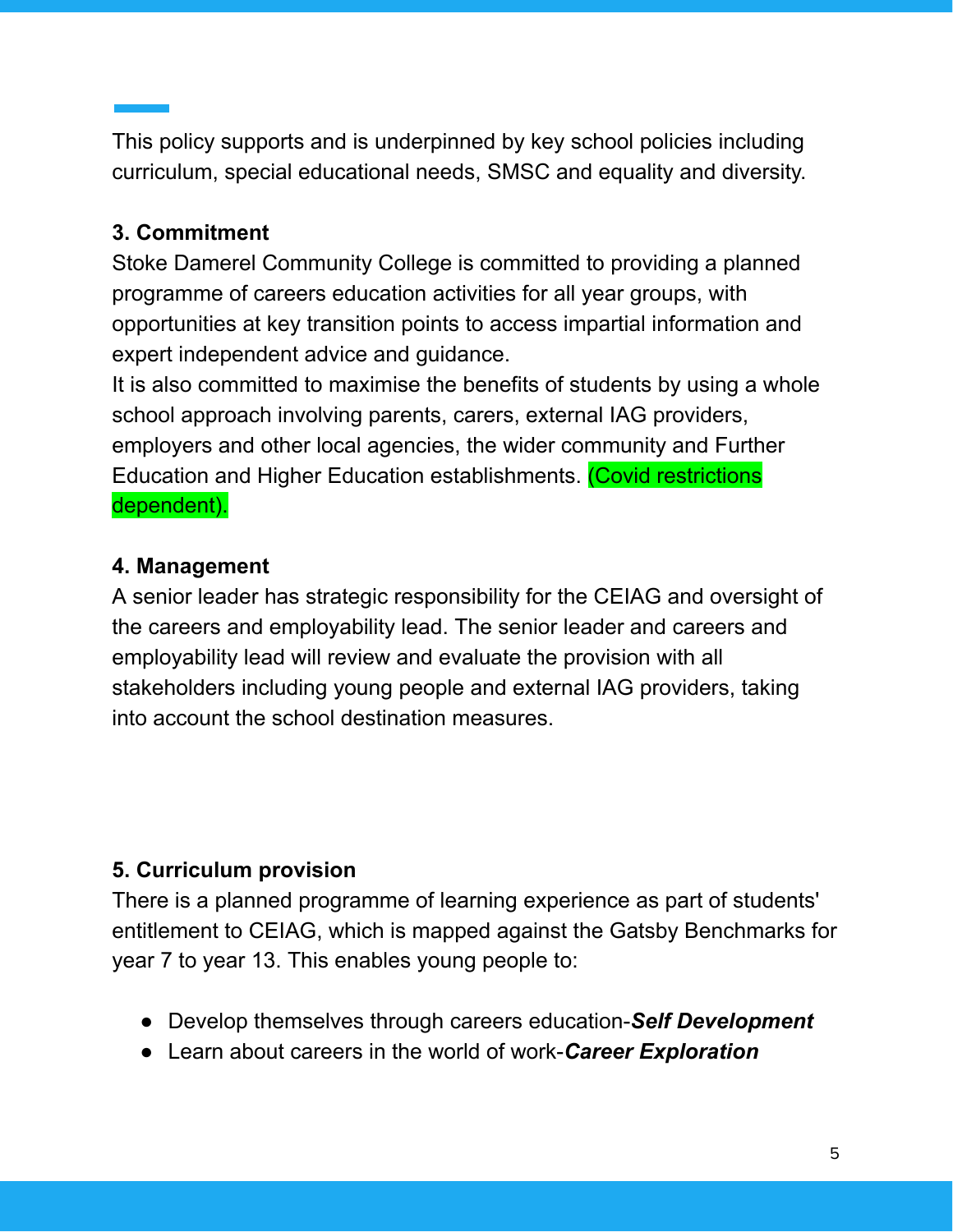This policy supports and is underpinned by key school policies including curriculum, special educational needs, SMSC and equality and diversity.

#### **3. Commitment**

Stoke Damerel Community College is committed to providing a planned programme of careers education activities for all year groups, with opportunities at key transition points to access impartial information and expert independent advice and guidance.

It is also committed to maximise the benefits of students by using a whole school approach involving parents, carers, external IAG providers, employers and other local agencies, the wider community and Further Education and Higher Education establishments. (Covid restrictions dependent).

## **4. Management**

A senior leader has strategic responsibility for the CEIAG and oversight of the careers and employability lead. The senior leader and careers and employability lead will review and evaluate the provision with all stakeholders including young people and external IAG providers, taking into account the school destination measures.

## **5. Curriculum provision**

There is a planned programme of learning experience as part of students' entitlement to CEIAG, which is mapped against the Gatsby Benchmarks for year 7 to year 13. This enables young people to:

- Develop themselves through careers education-*Self Development*
- Learn about careers in the world of work-*Career Exploration*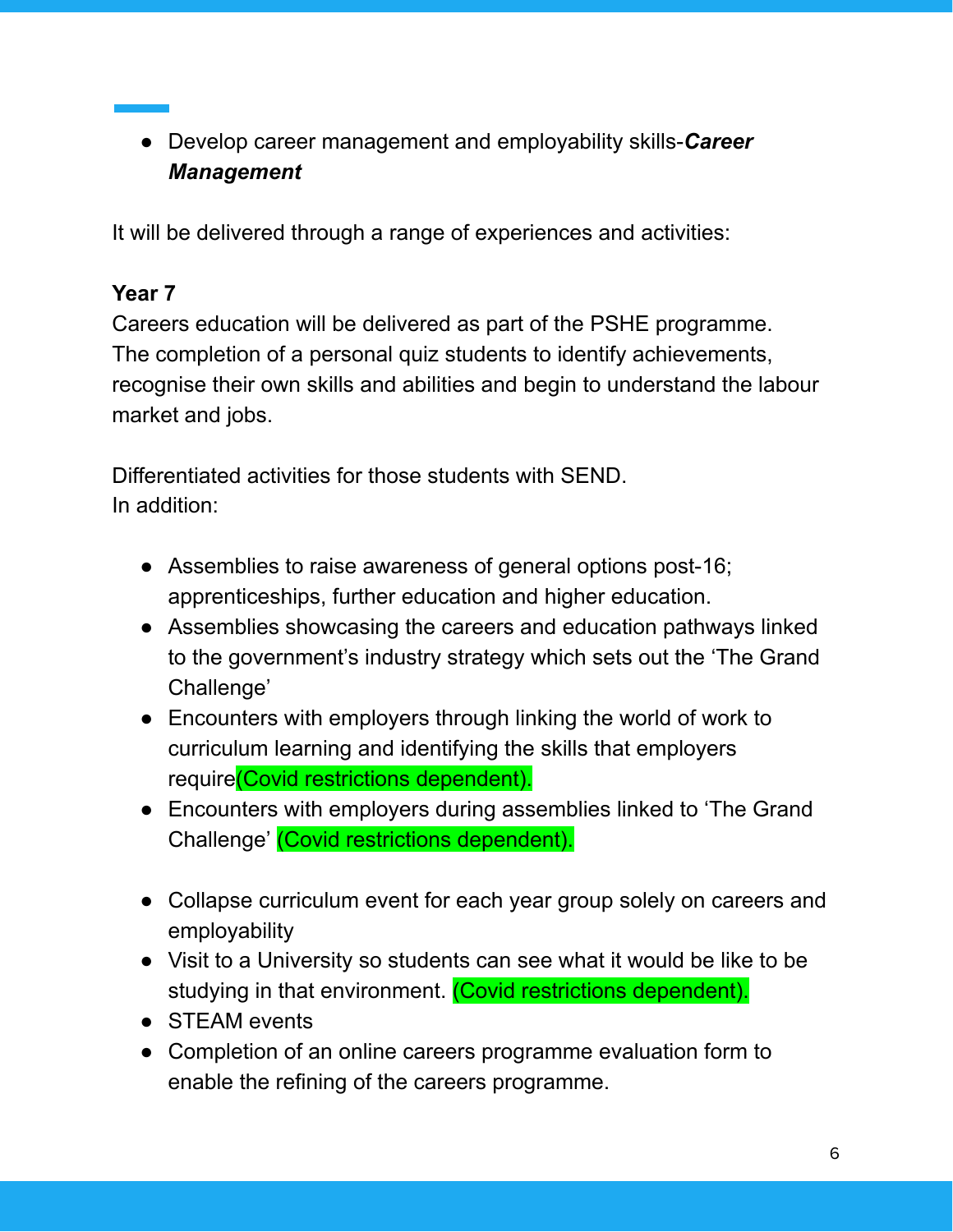● Develop career management and employability skills-*Career Management*

It will be delivered through a range of experiences and activities:

#### **Year 7**

Careers education will be delivered as part of the PSHE programme. The completion of a personal quiz students to identify achievements, recognise their own skills and abilities and begin to understand the labour market and jobs.

Differentiated activities for those students with SEND. In addition:

- Assemblies to raise awareness of general options post-16; apprenticeships, further education and higher education.
- Assemblies showcasing the careers and education pathways linked to the government's industry strategy which sets out the 'The Grand Challenge'
- Encounters with employers through linking the world of work to curriculum learning and identifying the skills that employers require(Covid restrictions dependent).
- Encounters with employers during assemblies linked to 'The Grand Challenge' (Covid restrictions dependent).
- Collapse curriculum event for each year group solely on careers and employability
- Visit to a University so students can see what it would be like to be studying in that environment. (Covid restrictions dependent).
- STEAM events
- Completion of an online careers programme evaluation form to enable the refining of the careers programme.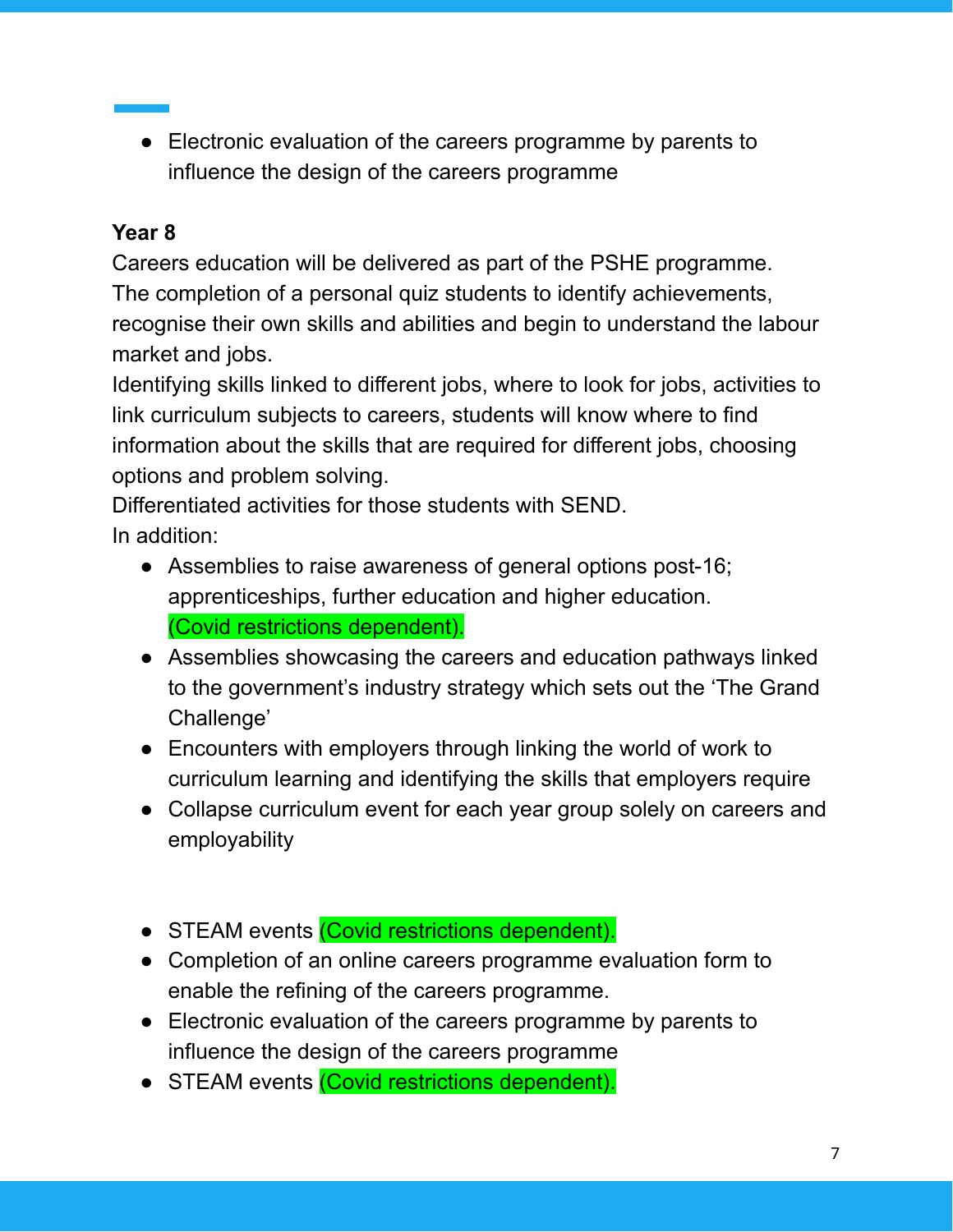● Electronic evaluation of the careers programme by parents to influence the design of the careers programme

#### **Year 8**

Careers education will be delivered as part of the PSHE programme. The completion of a personal quiz students to identify achievements, recognise their own skills and abilities and begin to understand the labour market and jobs.

Identifying skills linked to different jobs, where to look for jobs, activities to link curriculum subjects to careers, students will know where to find information about the skills that are required for different jobs, choosing options and problem solving.

Differentiated activities for those students with SEND. In addition:

- Assemblies to raise awareness of general options post-16; apprenticeships, further education and higher education. (Covid restrictions dependent).
- Assemblies showcasing the careers and education pathways linked to the government's industry strategy which sets out the 'The Grand Challenge'
- Encounters with employers through linking the world of work to curriculum learning and identifying the skills that employers require
- Collapse curriculum event for each year group solely on careers and employability
- STEAM events (Covid restrictions dependent).
- Completion of an online careers programme evaluation form to enable the refining of the careers programme.
- Electronic evaluation of the careers programme by parents to influence the design of the careers programme
- STEAM events (Covid restrictions dependent).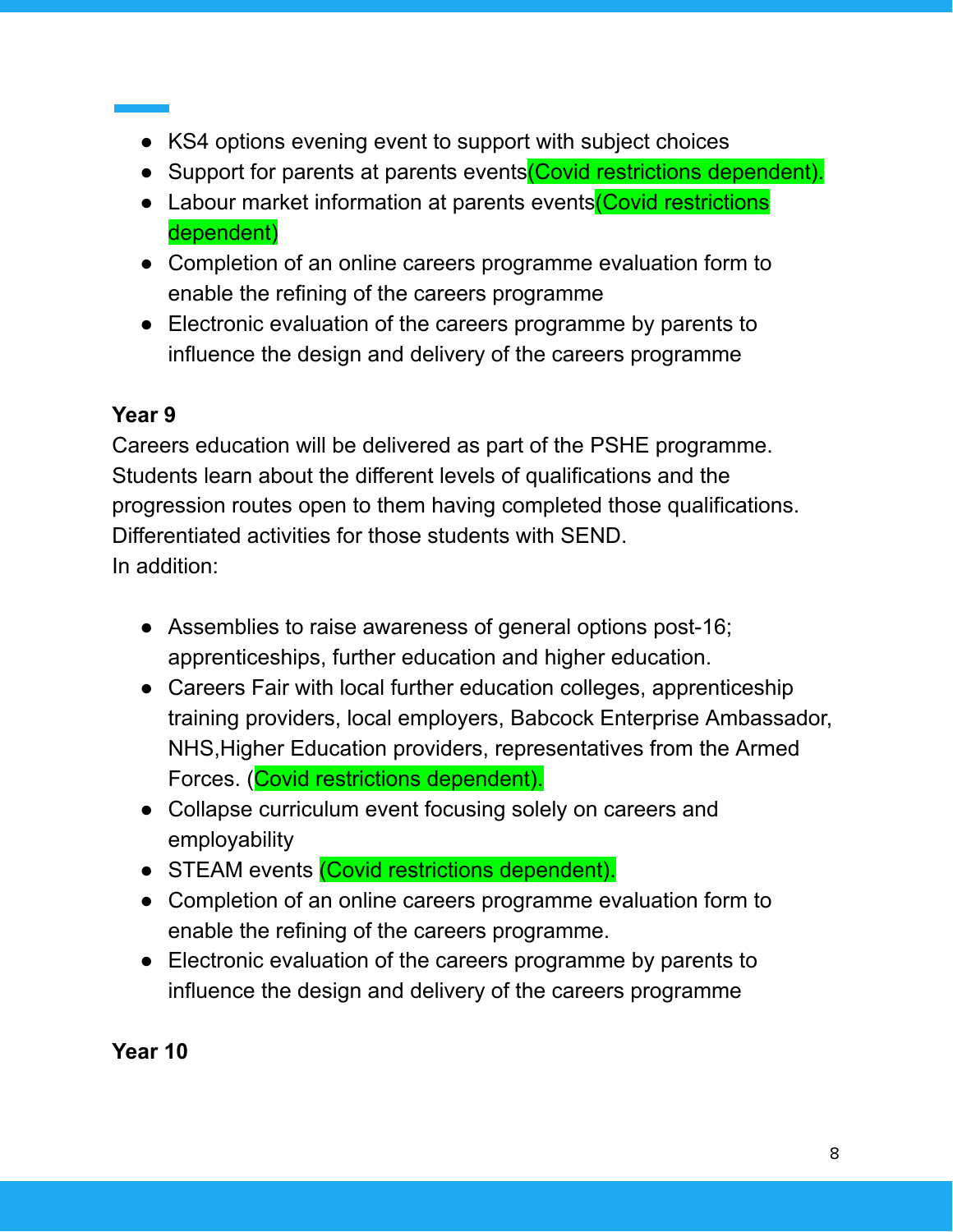- KS4 options evening event to support with subject choices
- Support for parents at parents events Covid restrictions dependent).
- Labour market information at parents events (Covid restrictions dependent)
- Completion of an online careers programme evaluation form to enable the refining of the careers programme
- Electronic evaluation of the careers programme by parents to influence the design and delivery of the careers programme

## **Year 9**

Careers education will be delivered as part of the PSHE programme. Students learn about the different levels of qualifications and the progression routes open to them having completed those qualifications. Differentiated activities for those students with SEND. In addition:

- Assemblies to raise awareness of general options post-16; apprenticeships, further education and higher education.
- Careers Fair with local further education colleges, apprenticeship training providers, local employers, Babcock Enterprise Ambassador, NHS,Higher Education providers, representatives from the Armed Forces. (Covid restrictions dependent).
- Collapse curriculum event focusing solely on careers and employability
- STEAM events (Covid restrictions dependent).
- Completion of an online careers programme evaluation form to enable the refining of the careers programme.
- Electronic evaluation of the careers programme by parents to influence the design and delivery of the careers programme

**Year 10**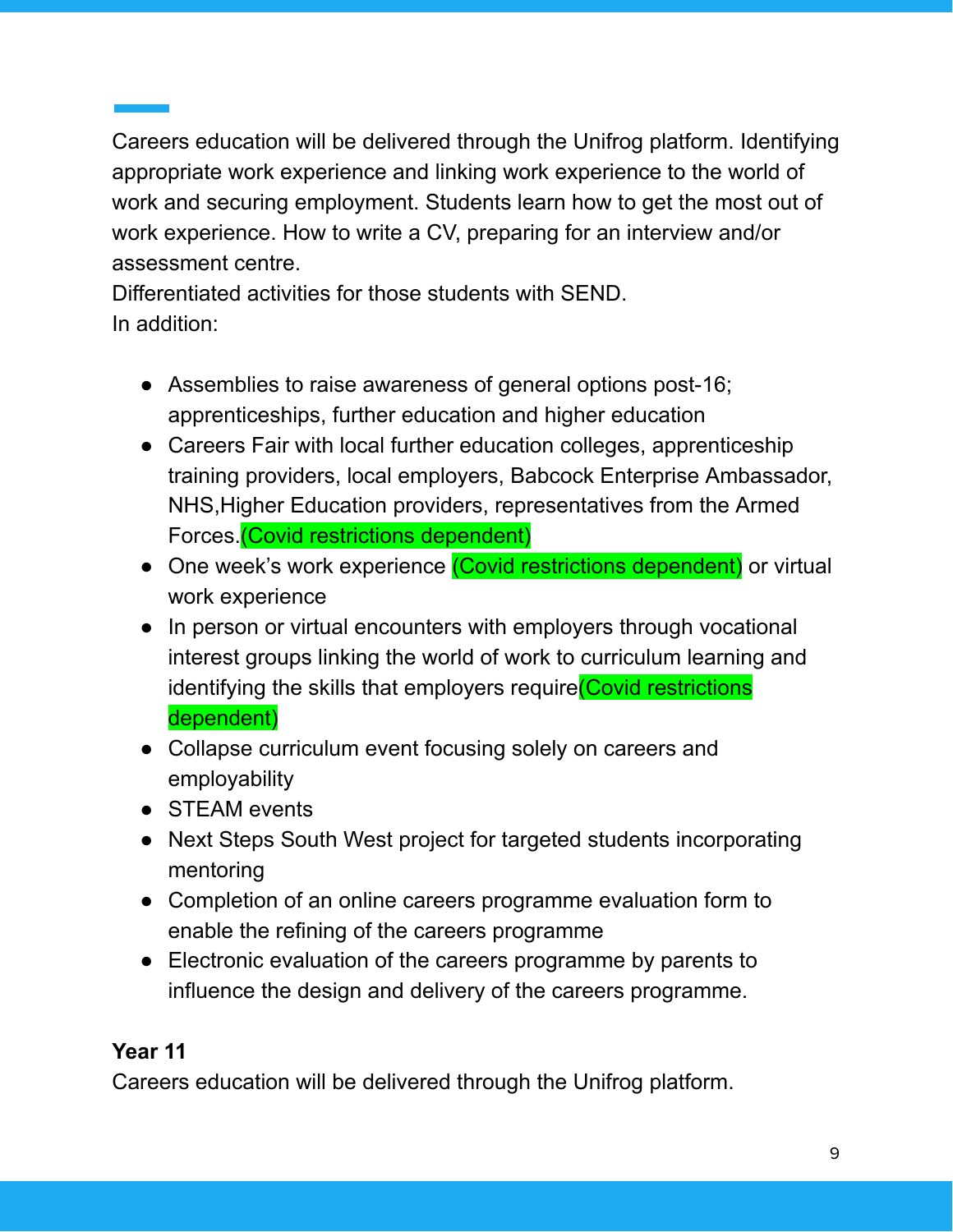Careers education will be delivered through the Unifrog platform. Identifying appropriate work experience and linking work experience to the world of work and securing employment. Students learn how to get the most out of work experience. How to write a CV, preparing for an interview and/or assessment centre.

Differentiated activities for those students with SEND. In addition:

- Assemblies to raise awareness of general options post-16; apprenticeships, further education and higher education
- Careers Fair with local further education colleges, apprenticeship training providers, local employers, Babcock Enterprise Ambassador, NHS,Higher Education providers, representatives from the Armed Forces.(Covid restrictions dependent)
- One week's work experience *(Covid restrictions dependent)* or virtual work experience
- In person or virtual encounters with employers through vocational interest groups linking the world of work to curriculum learning and identifying the skills that employers require (Covid restrictions dependent)
- Collapse curriculum event focusing solely on careers and employability
- STEAM events
- Next Steps South West project for targeted students incorporating mentoring
- Completion of an online careers programme evaluation form to enable the refining of the careers programme
- Electronic evaluation of the careers programme by parents to influence the design and delivery of the careers programme.

## **Year 11**

Careers education will be delivered through the Unifrog platform.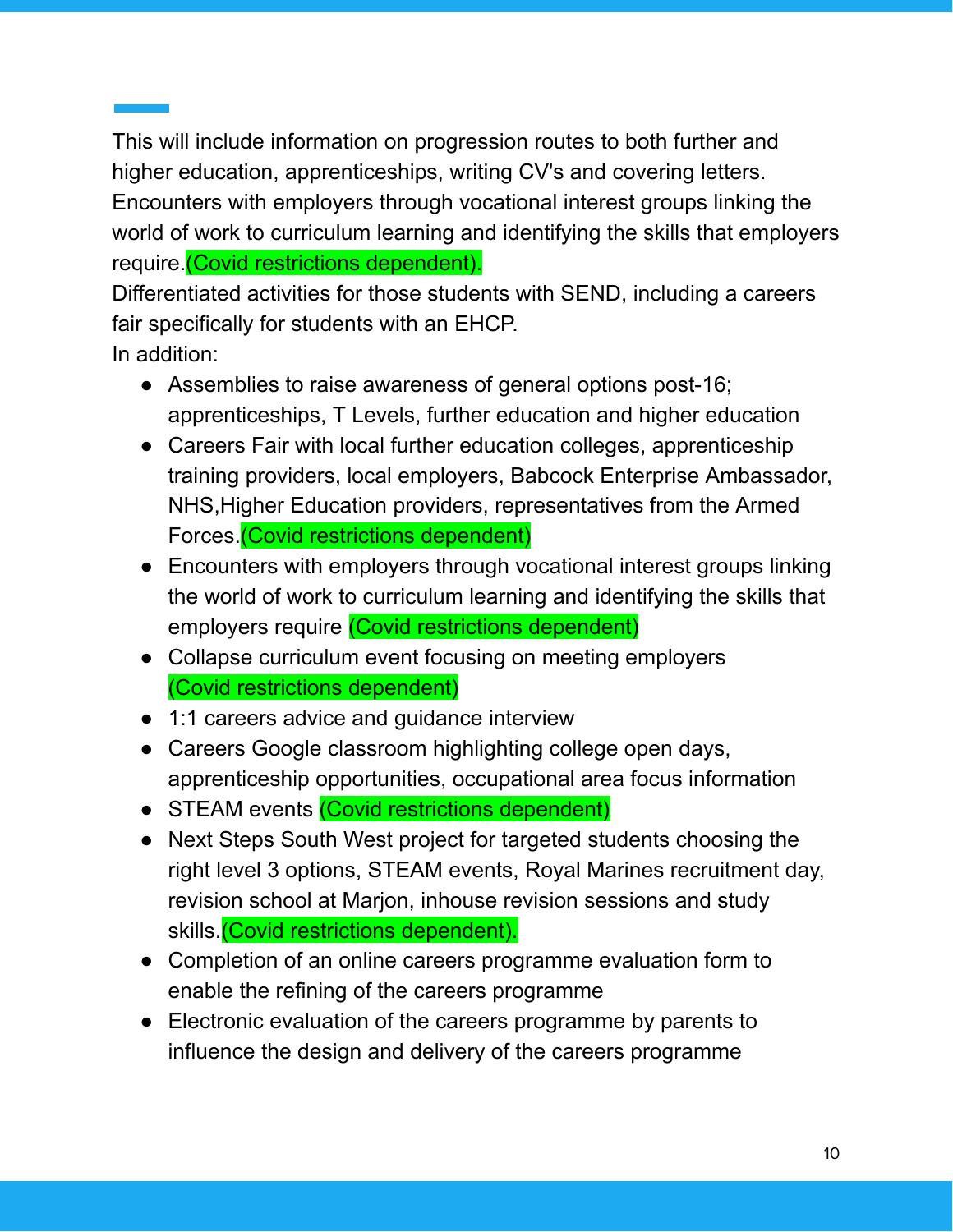This will include information on progression routes to both further and higher education, apprenticeships, writing CV's and covering letters. Encounters with employers through vocational interest groups linking the world of work to curriculum learning and identifying the skills that employers require. (Covid restrictions dependent).

Differentiated activities for those students with SEND, including a careers fair specifically for students with an EHCP.

In addition:

- Assemblies to raise awareness of general options post-16; apprenticeships, T Levels, further education and higher education
- Careers Fair with local further education colleges, apprenticeship training providers, local employers, Babcock Enterprise Ambassador, NHS,Higher Education providers, representatives from the Armed Forces.(Covid restrictions dependent)
- Encounters with employers through vocational interest groups linking the world of work to curriculum learning and identifying the skills that employers require (Covid restrictions dependent)
- Collapse curriculum event focusing on meeting employers (Covid restrictions dependent)
- 1:1 careers advice and quidance interview
- Careers Google classroom highlighting college open days, apprenticeship opportunities, occupational area focus information
- STEAM events (Covid restrictions dependent)
- Next Steps South West project for targeted students choosing the right level 3 options, STEAM events, Royal Marines recruitment day, revision school at Marjon, inhouse revision sessions and study skills.(Covid restrictions dependent).
- Completion of an online careers programme evaluation form to enable the refining of the careers programme
- Electronic evaluation of the careers programme by parents to influence the design and delivery of the careers programme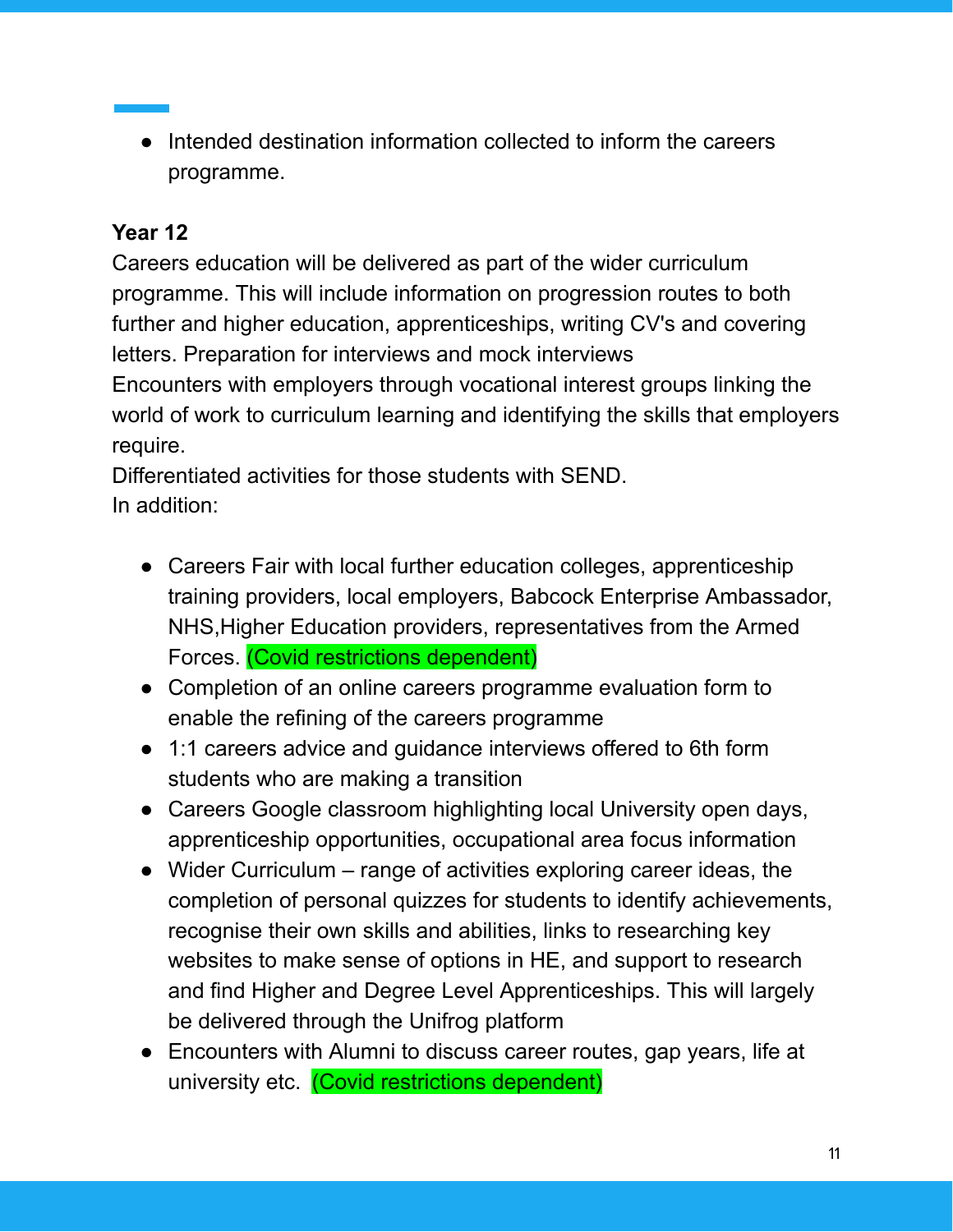● Intended destination information collected to inform the careers programme.

## **Year 12**

Careers education will be delivered as part of the wider curriculum programme. This will include information on progression routes to both further and higher education, apprenticeships, writing CV's and covering letters. Preparation for interviews and mock interviews Encounters with employers through vocational interest groups linking the world of work to curriculum learning and identifying the skills that employers require.

Differentiated activities for those students with SEND. In addition:

- Careers Fair with local further education colleges, apprenticeship training providers, local employers, Babcock Enterprise Ambassador, NHS,Higher Education providers, representatives from the Armed Forces. (Covid restrictions dependent)
- Completion of an online careers programme evaluation form to enable the refining of the careers programme
- 1:1 careers advice and quidance interviews offered to 6th form students who are making a transition
- Careers Google classroom highlighting local University open days, apprenticeship opportunities, occupational area focus information
- Wider Curriculum range of activities exploring career ideas, the completion of personal quizzes for students to identify achievements, recognise their own skills and abilities, links to researching key websites to make sense of options in HE, and support to research and find Higher and Degree Level Apprenticeships. This will largely be delivered through the Unifrog platform
- Encounters with Alumni to discuss career routes, gap years, life at university etc. (Covid restrictions dependent)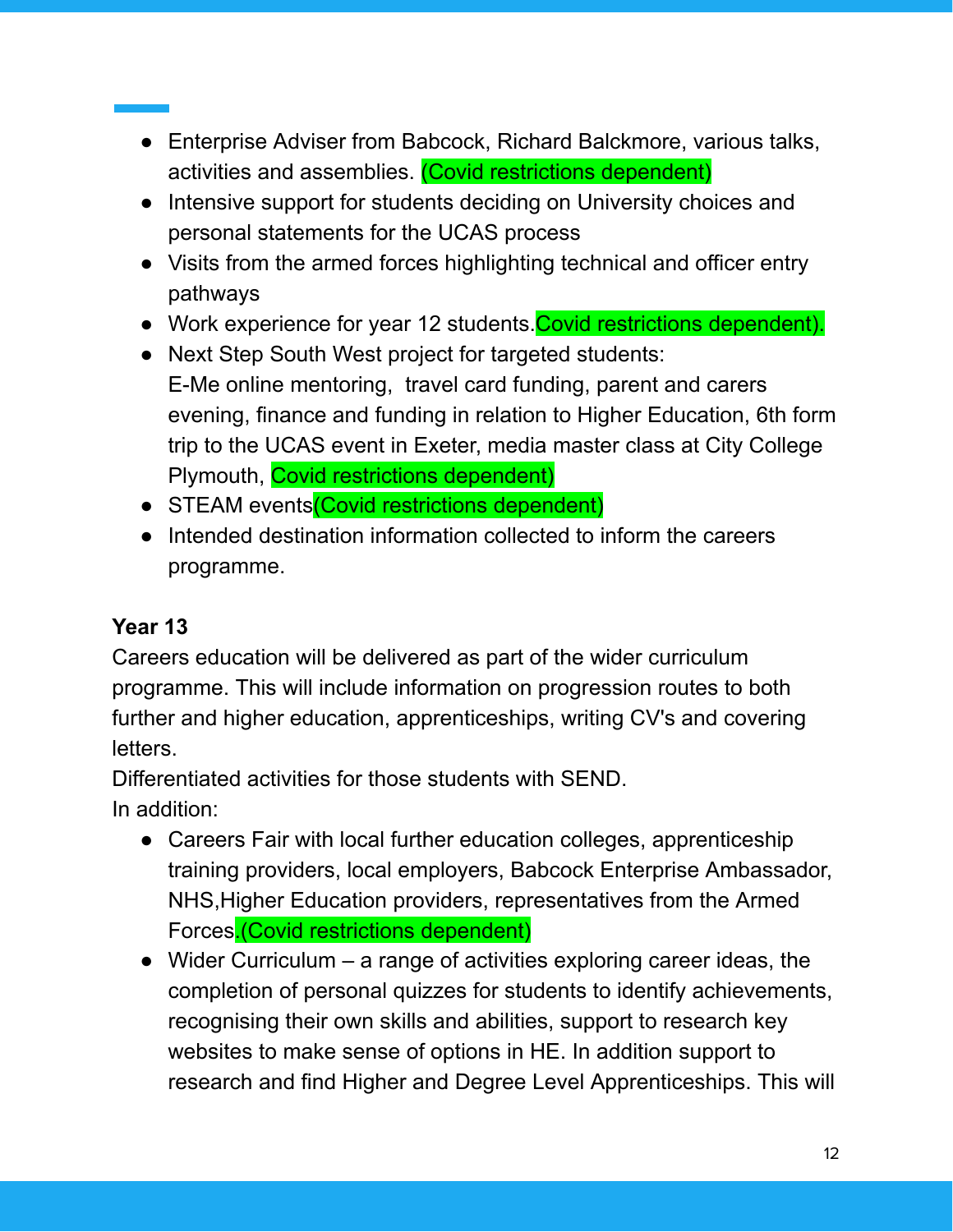- Enterprise Adviser from Babcock, Richard Balckmore, various talks, activities and assemblies. (Covid restrictions dependent)
- Intensive support for students deciding on University choices and personal statements for the UCAS process
- Visits from the armed forces highlighting technical and officer entry pathways
- Work experience for year 12 students. Covid restrictions dependent).
- Next Step South West project for targeted students: E-Me online mentoring, travel card funding, parent and carers evening, finance and funding in relation to Higher Education, 6th form trip to the UCAS event in Exeter, media master class at City College Plymouth, Covid restrictions dependent)
- STEAM events (Covid restrictions dependent)
- Intended destination information collected to inform the careers programme.

## **Year 13**

Careers education will be delivered as part of the wider curriculum programme. This will include information on progression routes to both further and higher education, apprenticeships, writing CV's and covering letters.

Differentiated activities for those students with SEND.

In addition:

- Careers Fair with local further education colleges, apprenticeship training providers, local employers, Babcock Enterprise Ambassador, NHS,Higher Education providers, representatives from the Armed Forces.(Covid restrictions dependent)
- $\bullet$  Wider Curriculum a range of activities exploring career ideas, the completion of personal quizzes for students to identify achievements, recognising their own skills and abilities, support to research key websites to make sense of options in HE. In addition support to research and find Higher and Degree Level Apprenticeships. This will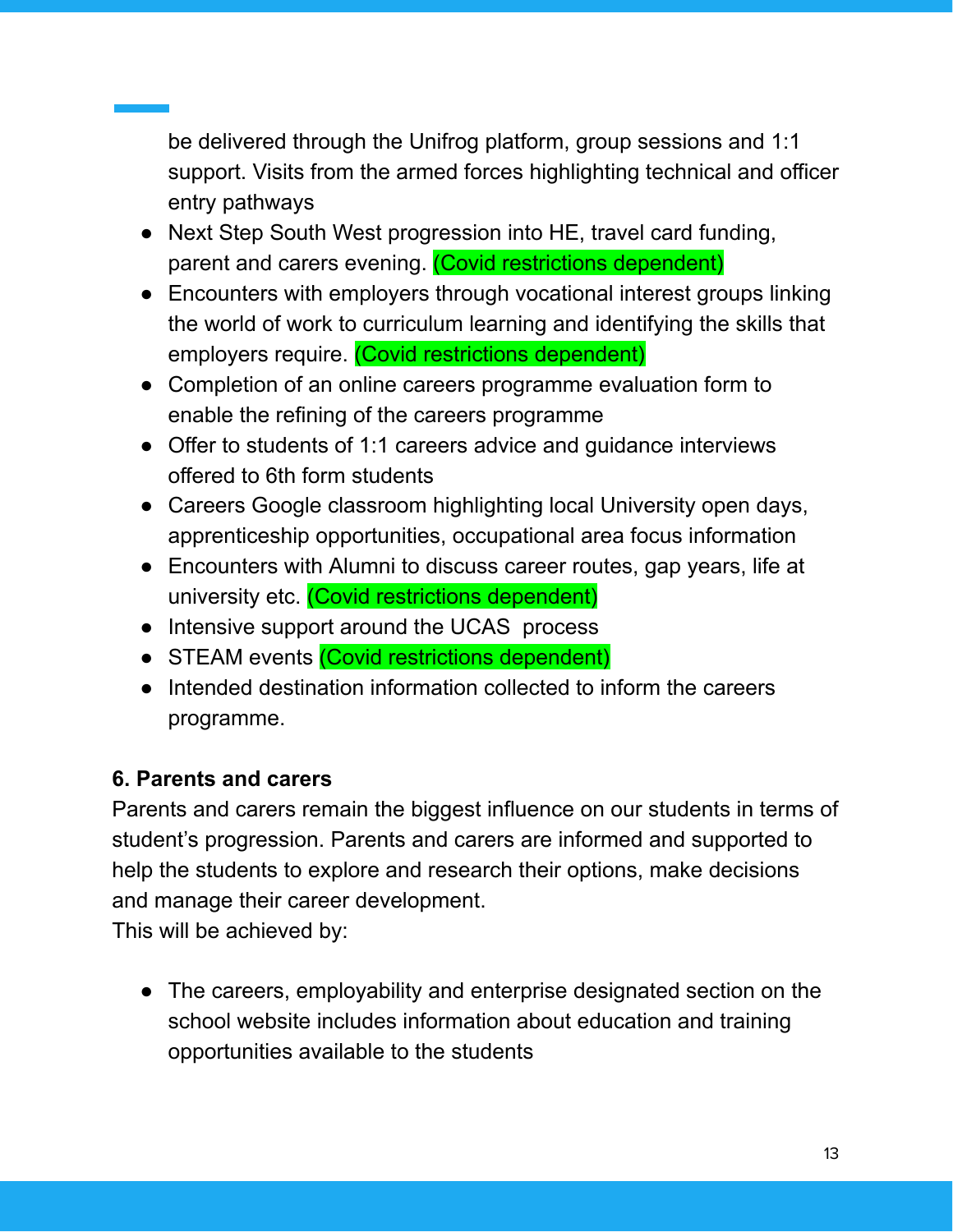be delivered through the Unifrog platform, group sessions and 1:1 support. Visits from the armed forces highlighting technical and officer entry pathways

- Next Step South West progression into HE, travel card funding, parent and carers evening. (Covid restrictions dependent)
- Encounters with employers through vocational interest groups linking the world of work to curriculum learning and identifying the skills that employers require. (Covid restrictions dependent)
- Completion of an online careers programme evaluation form to enable the refining of the careers programme
- Offer to students of 1:1 careers advice and quidance interviews offered to 6th form students
- Careers Google classroom highlighting local University open days, apprenticeship opportunities, occupational area focus information
- Encounters with Alumni to discuss career routes, gap years, life at university etc. (Covid restrictions dependent)
- Intensive support around the UCAS process
- STEAM events (Covid restrictions dependent)
- Intended destination information collected to inform the careers programme.

#### **6. Parents and carers**

Parents and carers remain the biggest influence on our students in terms of student's progression. Parents and carers are informed and supported to help the students to explore and research their options, make decisions and manage their career development.

This will be achieved by:

• The careers, employability and enterprise designated section on the school website includes information about education and training opportunities available to the students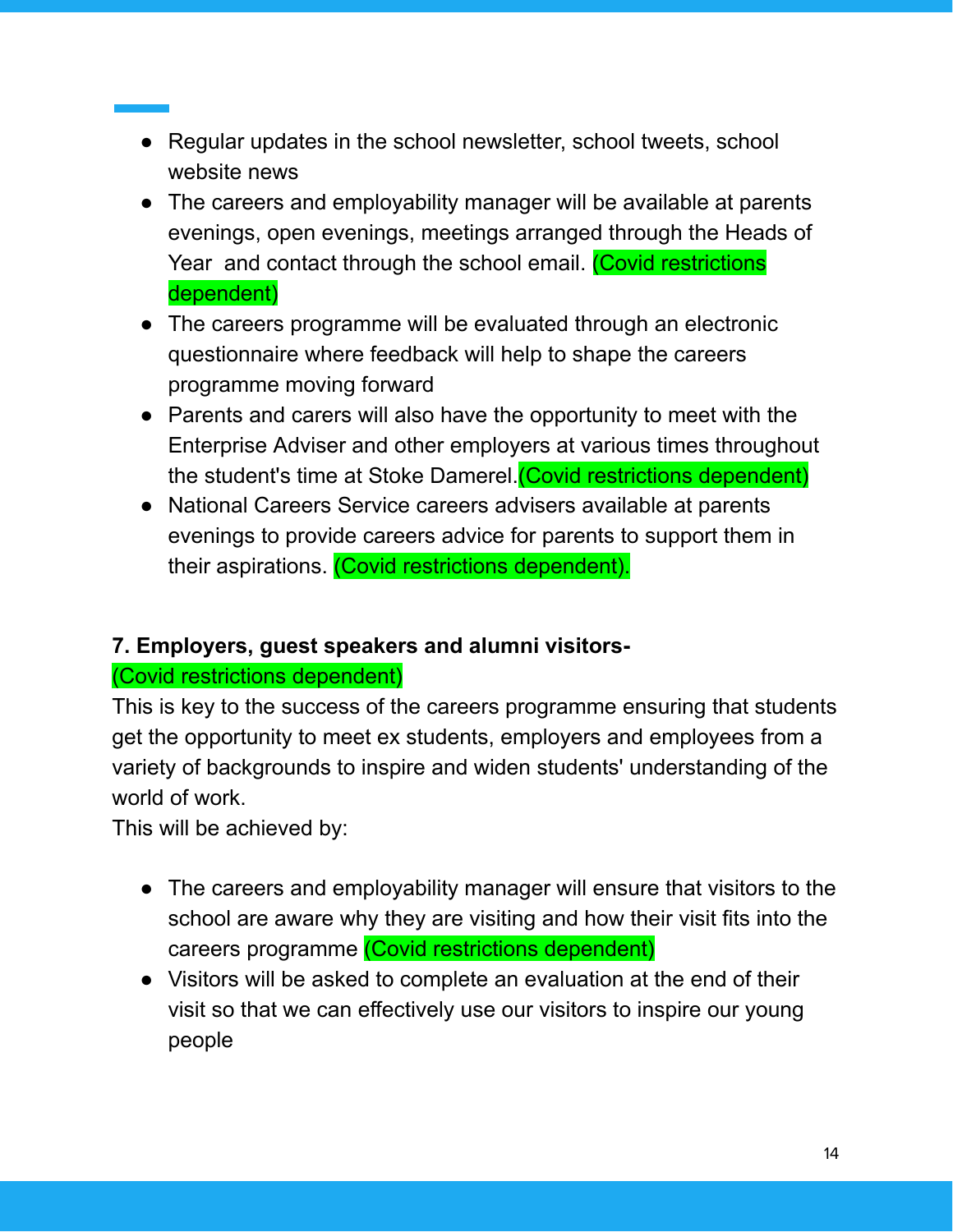- Regular updates in the school newsletter, school tweets, school website news
- The careers and employability manager will be available at parents evenings, open evenings, meetings arranged through the Heads of Year and contact through the school email. (Covid restrictions dependent)
- The careers programme will be evaluated through an electronic questionnaire where feedback will help to shape the careers programme moving forward
- Parents and carers will also have the opportunity to meet with the Enterprise Adviser and other employers at various times throughout the student's time at Stoke Damerel.(Covid restrictions dependent)
- National Careers Service careers advisers available at parents evenings to provide careers advice for parents to support them in their aspirations. (Covid restrictions dependent).

#### **7. Employers, guest speakers and alumni visitors-**

#### (Covid restrictions dependent)

This is key to the success of the careers programme ensuring that students get the opportunity to meet ex students, employers and employees from a variety of backgrounds to inspire and widen students' understanding of the world of work.

This will be achieved by:

- The careers and employability manager will ensure that visitors to the school are aware why they are visiting and how their visit fits into the careers programme (Covid restrictions dependent)
- Visitors will be asked to complete an evaluation at the end of their visit so that we can effectively use our visitors to inspire our young people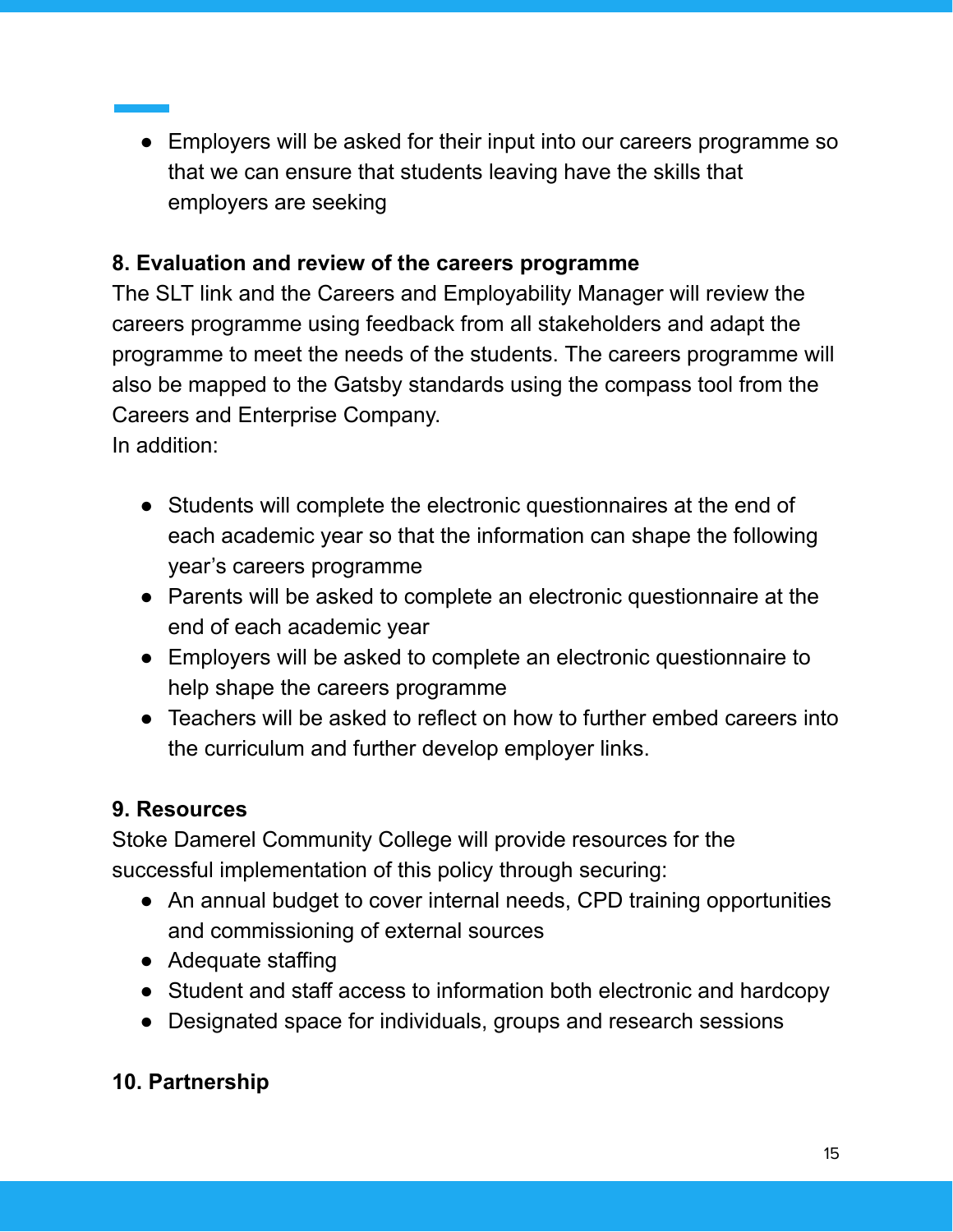• Employers will be asked for their input into our careers programme so that we can ensure that students leaving have the skills that employers are seeking

## **8. Evaluation and review of the careers programme**

The SLT link and the Careers and Employability Manager will review the careers programme using feedback from all stakeholders and adapt the programme to meet the needs of the students. The careers programme will also be mapped to the Gatsby standards using the compass tool from the Careers and Enterprise Company.

In addition:

- Students will complete the electronic questionnaires at the end of each academic year so that the information can shape the following year's careers programme
- Parents will be asked to complete an electronic questionnaire at the end of each academic year
- Employers will be asked to complete an electronic questionnaire to help shape the careers programme
- Teachers will be asked to reflect on how to further embed careers into the curriculum and further develop employer links.

## **9. Resources**

Stoke Damerel Community College will provide resources for the successful implementation of this policy through securing:

- An annual budget to cover internal needs, CPD training opportunities and commissioning of external sources
- Adequate staffing
- Student and staff access to information both electronic and hardcopy
- Designated space for individuals, groups and research sessions

## **10. Partnership**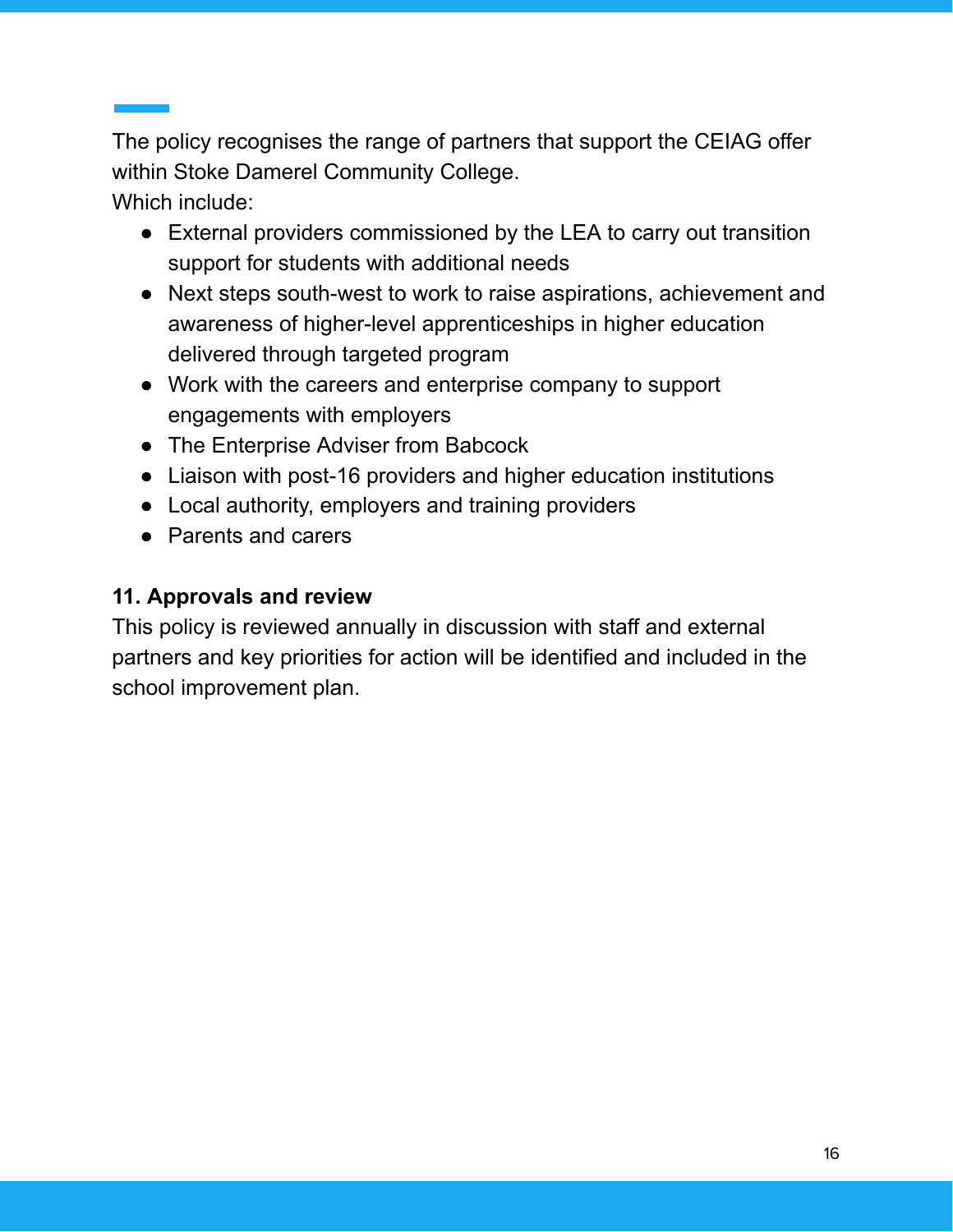The policy recognises the range of partners that support the CEIAG offer within Stoke Damerel Community College.

Which include:

- External providers commissioned by the LEA to carry out transition support for students with additional needs
- Next steps south-west to work to raise aspirations, achievement and awareness of higher-level apprenticeships in higher education delivered through targeted program
- Work with the careers and enterprise company to support engagements with employers
- The Enterprise Adviser from Babcock
- Liaison with post-16 providers and higher education institutions
- Local authority, employers and training providers
- Parents and carers

## **11. Approvals and review**

This policy is reviewed annually in discussion with staff and external partners and key priorities for action will be identified and included in the school improvement plan.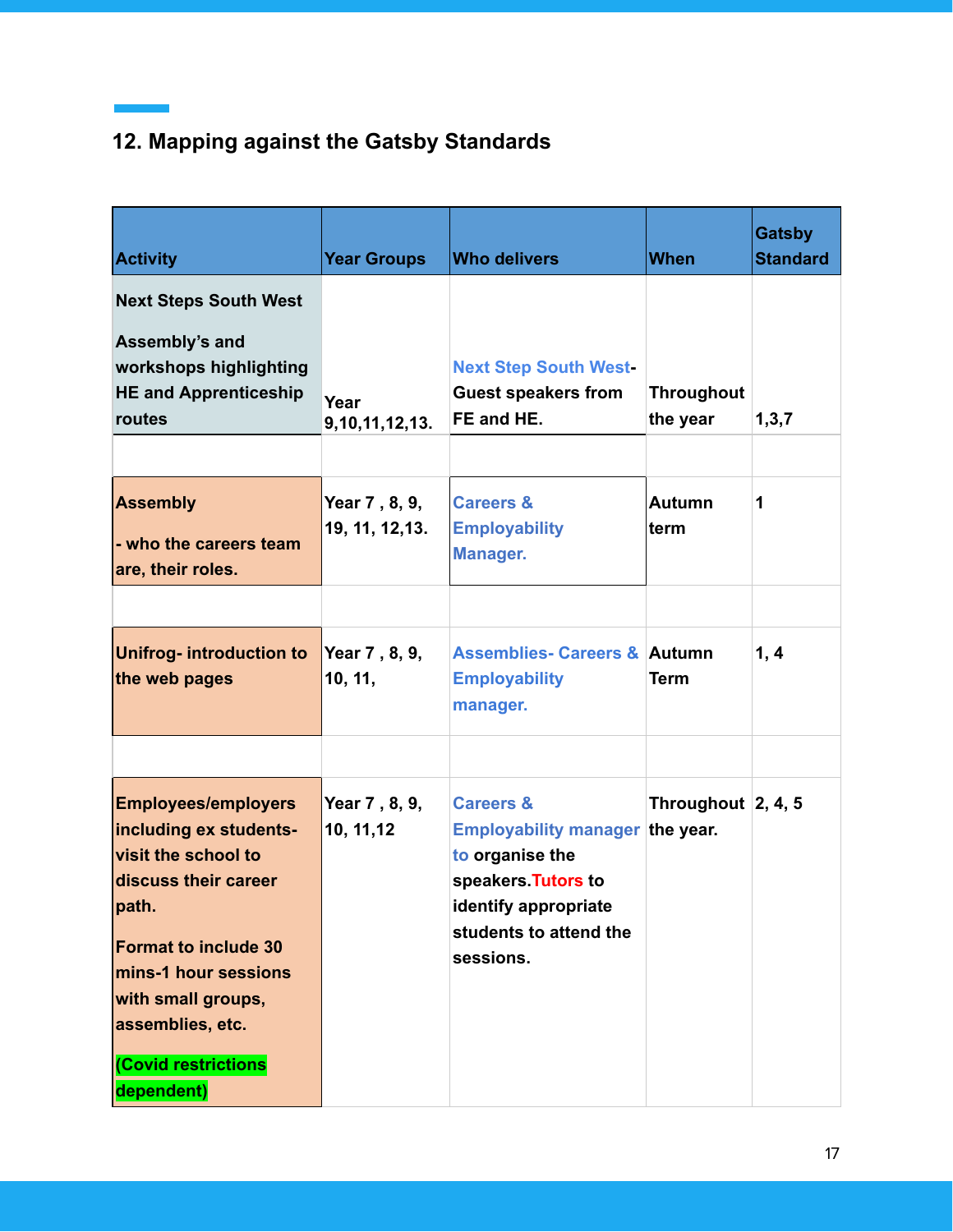## **12. Mapping against the Gatsby Standards**

 $\sim 10^{11}$  m  $^{-1}$  .

| <b>Activity</b>                                                                                                                                                                                                                                    | <b>Year Groups</b>               | <b>Who delivers</b>                                                                                                                                              | <b>When</b>                      | <b>Gatsby</b><br><b>Standard</b> |
|----------------------------------------------------------------------------------------------------------------------------------------------------------------------------------------------------------------------------------------------------|----------------------------------|------------------------------------------------------------------------------------------------------------------------------------------------------------------|----------------------------------|----------------------------------|
| <b>Next Steps South West</b><br>Assembly's and<br>workshops highlighting<br><b>HE and Apprenticeship</b><br>routes                                                                                                                                 | Year<br>9,10,11,12,13.           | <b>Next Step South West-</b><br><b>Guest speakers from</b><br>FE and HE.                                                                                         | <b>Throughout</b><br>the year    | 1,3,7                            |
| <b>Assembly</b><br>- who the careers team<br>are, their roles.                                                                                                                                                                                     | Year 7, 8, 9,<br>19, 11, 12, 13. | <b>Careers &amp;</b><br><b>Employability</b><br>Manager.                                                                                                         | <b>Autumn</b><br>term            | 1                                |
| <b>Unifrog- introduction to</b><br>the web pages                                                                                                                                                                                                   | Year 7, 8, 9,<br>10, 11,         | <b>Assemblies- Careers &amp; Autumn</b><br><b>Employability</b><br>manager.                                                                                      | <b>Term</b>                      | 1, 4                             |
| <b>Employees/employers</b><br>including ex students-<br>visit the school to<br>discuss their career<br>path.<br><b>Format to include 30</b><br>mins-1 hour sessions<br>with small groups,<br>assemblies, etc.<br>(Covid restrictions<br>dependent) | Year 7, 8, 9,<br>10, 11, 12      | <b>Careers &amp;</b><br>Employability manager the year.<br>to organise the<br>speakers. Tutors to<br>identify appropriate<br>students to attend the<br>sessions. | Throughout $\vert 2, 4, 5 \vert$ |                                  |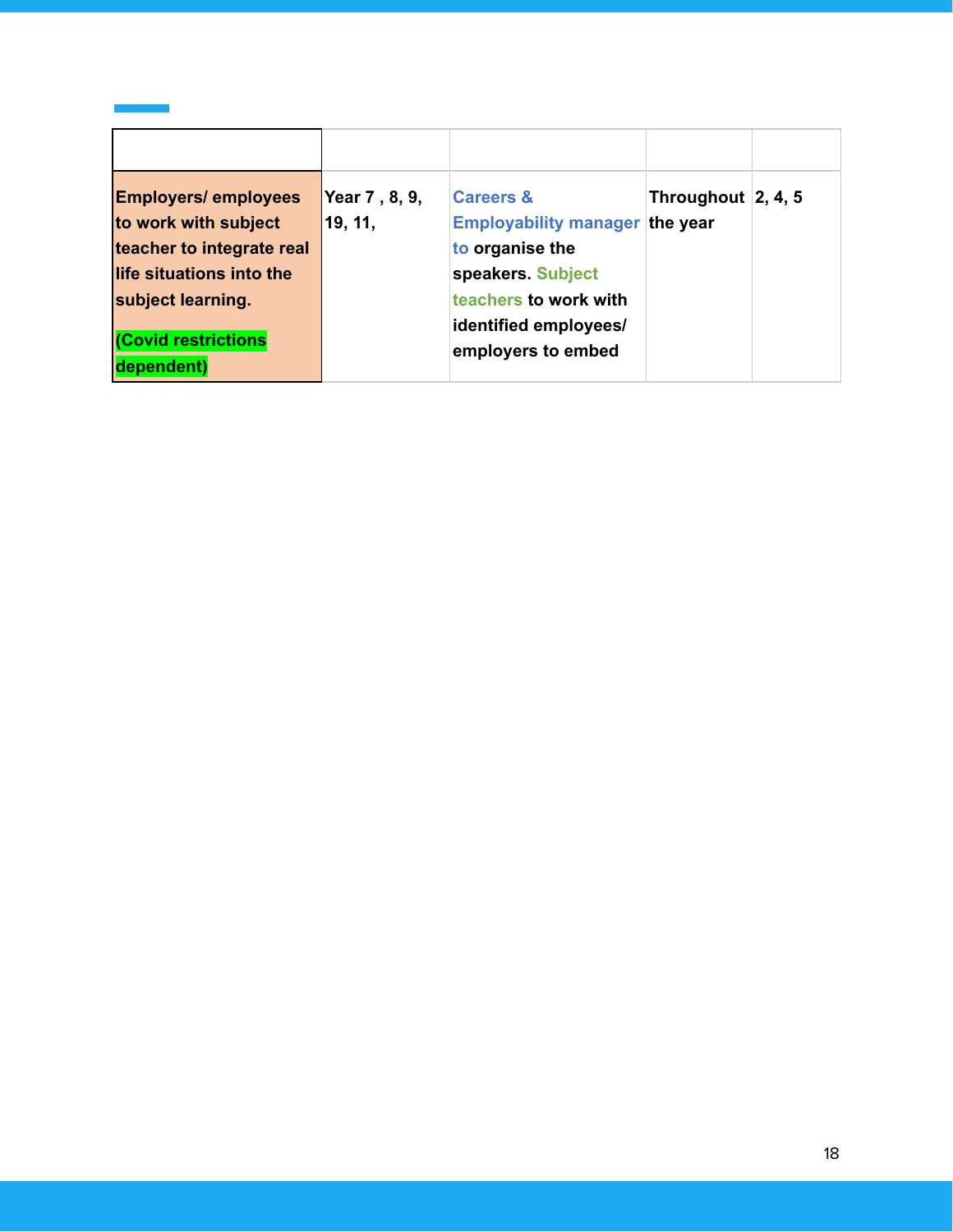| <b>Employers/ employees</b>             | Year 7, 8, 9, | <b>Careers &amp;</b>                        | Throughout $\vert 2, 4, 5 \vert$ |  |
|-----------------------------------------|---------------|---------------------------------------------|----------------------------------|--|
| to work with subject                    | 19, 11,       | <b>Employability manager</b>                | the year                         |  |
| teacher to integrate real               |               | to organise the                             |                                  |  |
| life situations into the                |               | speakers. Subject                           |                                  |  |
| subject learning.                       |               | teachers to work with                       |                                  |  |
| <b>Covid restrictions</b><br>dependent) |               | identified employees/<br>employers to embed |                                  |  |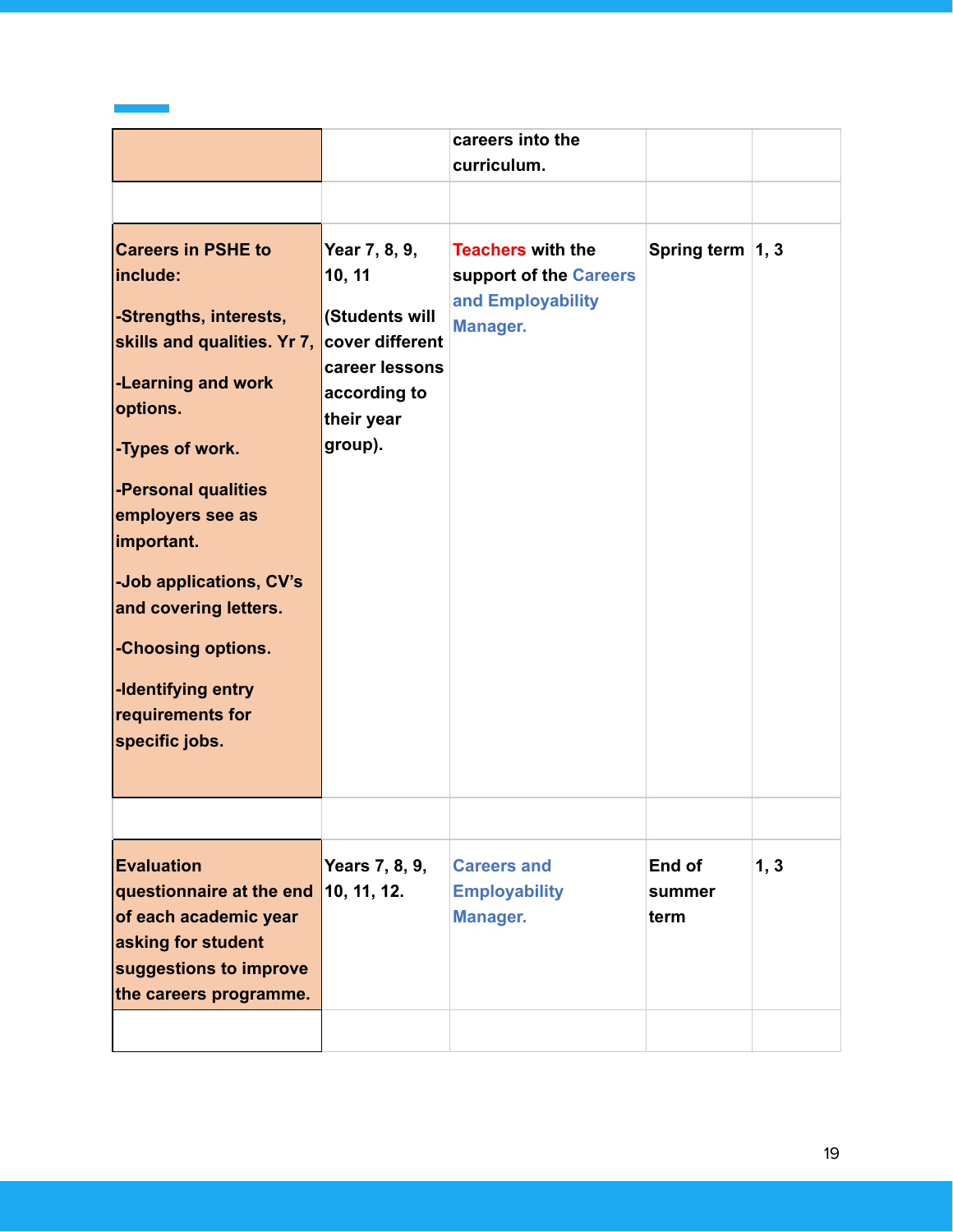|                                                                                                                                                                                                                                                                                                                                                    |                                                                                                                         | careers into the<br>curriculum.                                                            |                          |      |
|----------------------------------------------------------------------------------------------------------------------------------------------------------------------------------------------------------------------------------------------------------------------------------------------------------------------------------------------------|-------------------------------------------------------------------------------------------------------------------------|--------------------------------------------------------------------------------------------|--------------------------|------|
|                                                                                                                                                                                                                                                                                                                                                    |                                                                                                                         |                                                                                            |                          |      |
| <b>Careers in PSHE to</b><br>include:<br>-Strengths, interests,<br>skills and qualities. Yr 7,<br>-Learning and work<br>options.<br>-Types of work.<br>-Personal qualities<br>employers see as<br>important.<br>-Job applications, CV's<br>and covering letters.<br>-Choosing options.<br>-Identifying entry<br>requirements for<br>specific jobs. | Year 7, 8, 9,<br>10, 11<br>(Students will<br>cover different<br>career lessons<br>according to<br>their year<br>group). | <b>Teachers with the</b><br>support of the Careers<br>and Employability<br><b>Manager.</b> | Spring term 1, 3         |      |
|                                                                                                                                                                                                                                                                                                                                                    |                                                                                                                         |                                                                                            |                          |      |
| <b>Evaluation</b><br>questionnaire at the end<br>of each academic year<br>asking for student<br>suggestions to improve<br>the careers programme.                                                                                                                                                                                                   | Years 7, 8, 9,<br>10, 11, 12.                                                                                           | <b>Careers and</b><br><b>Employability</b><br><b>Manager.</b>                              | End of<br>summer<br>term | 1, 3 |
|                                                                                                                                                                                                                                                                                                                                                    |                                                                                                                         |                                                                                            |                          |      |

 $\mathcal{L}^{\text{max}}_{\text{max}}$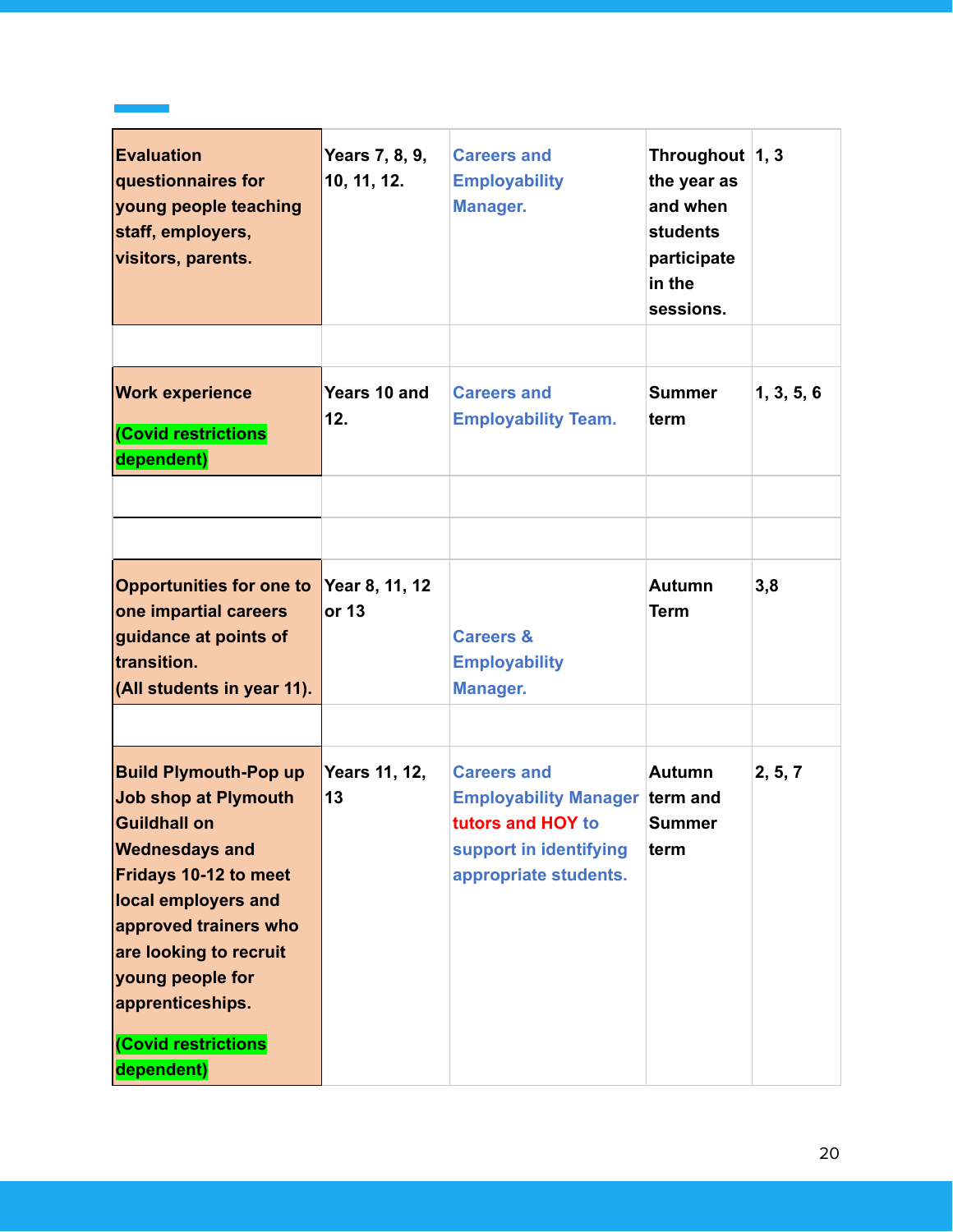| <b>Evaluation</b><br>questionnaires for<br>young people teaching<br>staff, employers,<br>visitors, parents.                                                                                                                                                                                 | Years 7, 8, 9,<br>10, 11, 12. | <b>Careers and</b><br><b>Employability</b><br><b>Manager.</b>                                                                       | Throughout $ 1, 3 $<br>the year as<br>and when<br><b>students</b><br>participate<br>in the<br>sessions. |            |
|---------------------------------------------------------------------------------------------------------------------------------------------------------------------------------------------------------------------------------------------------------------------------------------------|-------------------------------|-------------------------------------------------------------------------------------------------------------------------------------|---------------------------------------------------------------------------------------------------------|------------|
|                                                                                                                                                                                                                                                                                             |                               |                                                                                                                                     |                                                                                                         |            |
| <b>Work experience</b><br>(Covid restrictions<br>dependent)                                                                                                                                                                                                                                 | Years 10 and<br>12.           | <b>Careers and</b><br><b>Employability Team.</b>                                                                                    | <b>Summer</b><br>term                                                                                   | 1, 3, 5, 6 |
|                                                                                                                                                                                                                                                                                             |                               |                                                                                                                                     |                                                                                                         |            |
|                                                                                                                                                                                                                                                                                             |                               |                                                                                                                                     |                                                                                                         |            |
| <b>Opportunities for one to</b><br>one impartial careers<br>guidance at points of<br>transition.<br>(All students in year 11).                                                                                                                                                              | Year 8, 11, 12<br>or 13       | <b>Careers &amp;</b><br><b>Employability</b><br><b>Manager.</b>                                                                     | <b>Autumn</b><br><b>Term</b>                                                                            | 3,8        |
| <b>Build Plymouth-Pop up</b><br><b>Job shop at Plymouth</b><br><b>Guildhall on</b><br><b>Wednesdays and</b><br>Fridays 10-12 to meet<br>local employers and<br>approved trainers who<br>are looking to recruit<br>young people for<br>apprenticeships.<br>(Covid restrictions<br>dependent) | Years 11, 12,<br>13           | <b>Careers and</b><br><b>Employability Manager term and</b><br>tutors and HOY to<br>support in identifying<br>appropriate students. | <b>Autumn</b><br><b>Summer</b><br>term                                                                  | 2, 5, 7    |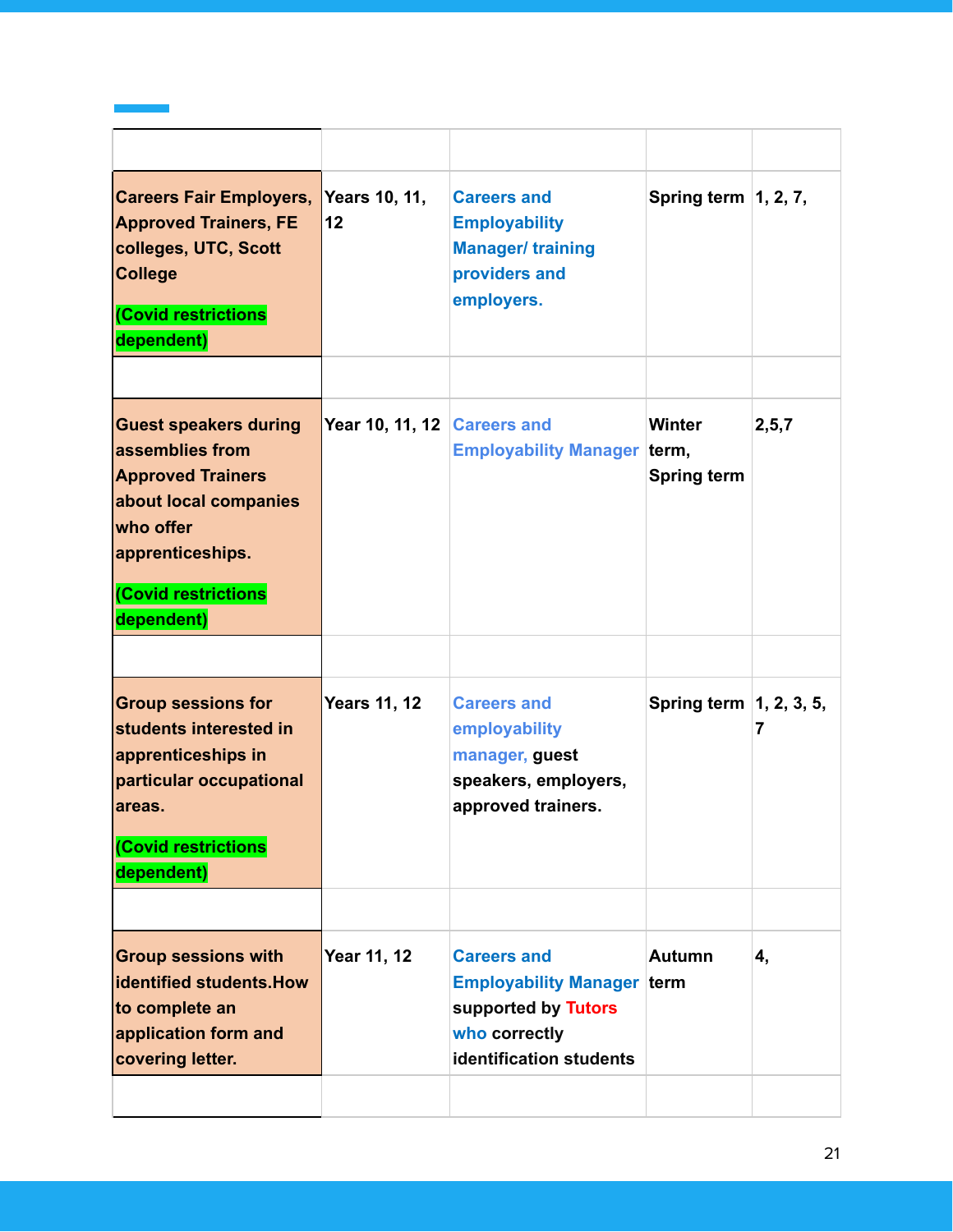| <b>Careers Fair Employers,</b><br><b>Approved Trainers, FE</b><br>colleges, UTC, Scott<br><b>College</b><br>(Covid restrictions<br>dependent)                              | <b>Years 10, 11,</b><br>12  | <b>Careers and</b><br><b>Employability</b><br><b>Manager/ training</b><br>providers and<br>employers.                      | Spring term $\vert$ 1, 2, 7,        |         |
|----------------------------------------------------------------------------------------------------------------------------------------------------------------------------|-----------------------------|----------------------------------------------------------------------------------------------------------------------------|-------------------------------------|---------|
|                                                                                                                                                                            |                             |                                                                                                                            |                                     |         |
| <b>Guest speakers during</b><br>assemblies from<br><b>Approved Trainers</b><br>about local companies<br>who offer<br>apprenticeships.<br>(Covid restrictions<br>dependent) | Year 10, 11, 12 Careers and | <b>Employability Manager term,</b>                                                                                         | <b>Winter</b><br><b>Spring term</b> | 2, 5, 7 |
|                                                                                                                                                                            |                             |                                                                                                                            |                                     |         |
| <b>Group sessions for</b><br>students interested in<br>apprenticeships in<br>particular occupational<br>lareas.<br>(Covid restrictions<br>dependent)                       | <b>Years 11, 12</b>         | <b>Careers and</b><br>employability<br>manager, guest<br>speakers, employers,<br>approved trainers.                        | Spring term   1, 2, 3, 5,           | 7       |
|                                                                                                                                                                            |                             |                                                                                                                            |                                     |         |
| <b>Group sessions with</b><br><b>identified students. How</b><br>to complete an<br>application form and<br>covering letter.                                                | Year 11, 12                 | <b>Careers and</b><br><b>Employability Manager term</b><br>supported by Tutors<br>who correctly<br>identification students | <b>Autumn</b>                       | 4,      |
|                                                                                                                                                                            |                             |                                                                                                                            |                                     |         |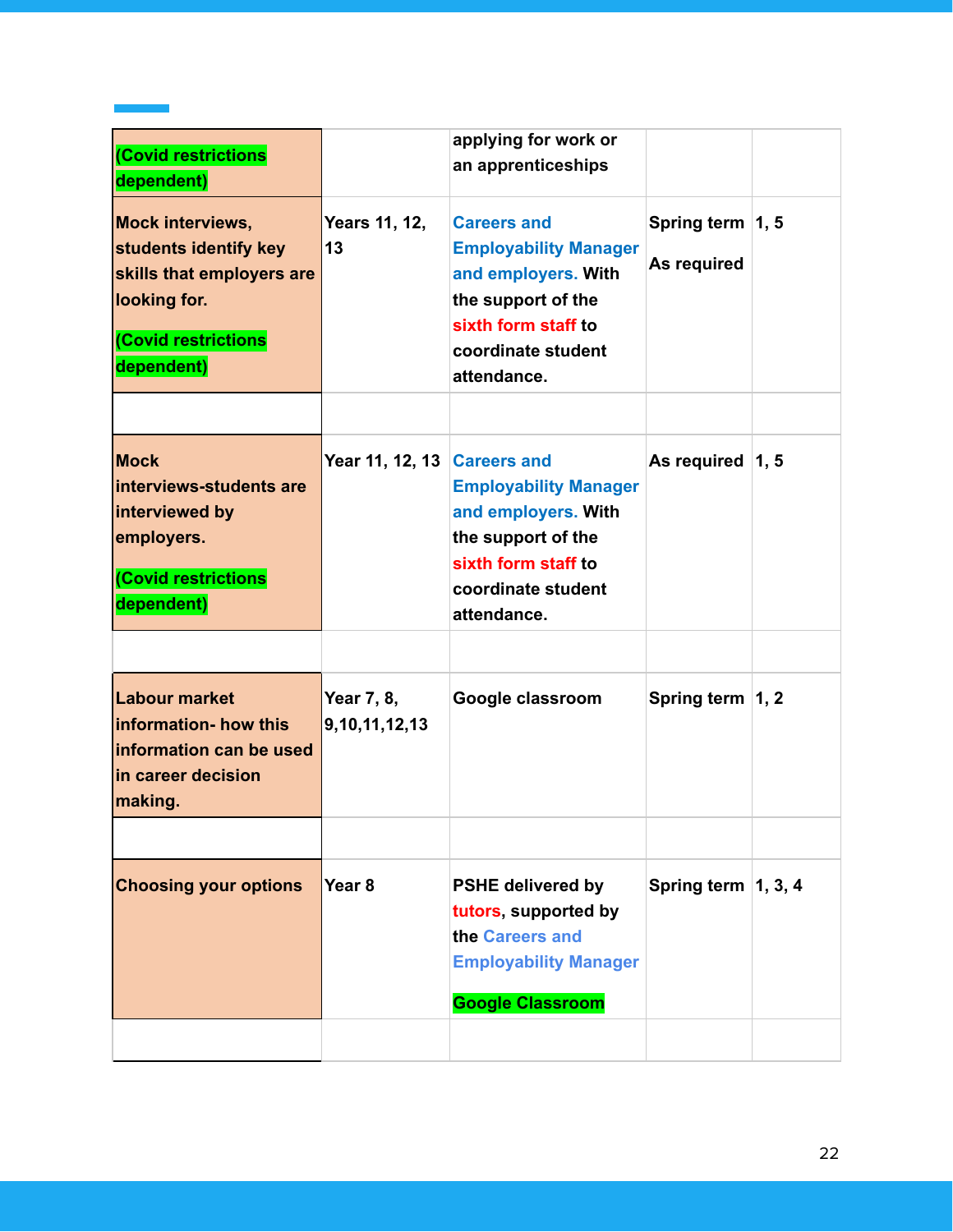|                                 | applying for work or<br>an apprenticeships                                                                                                                  |                                 |  |
|---------------------------------|-------------------------------------------------------------------------------------------------------------------------------------------------------------|---------------------------------|--|
| Years 11, 12,<br>13             | <b>Careers and</b><br><b>Employability Manager</b><br>and employers. With<br>the support of the<br>sixth form staff to<br>coordinate student<br>attendance. | Spring term 1, 5<br>As required |  |
|                                 | <b>Employability Manager</b><br>and employers. With<br>the support of the<br>sixth form staff to<br>coordinate student<br>attendance.                       | As required $ 1, 5$             |  |
| Year 7, 8,<br>9, 10, 11, 12, 13 | Google classroom                                                                                                                                            | Spring term 1, 2                |  |
| Year <sub>8</sub>               | <b>PSHE delivered by</b><br>tutors, supported by<br>the Careers and<br><b>Employability Manager</b><br><b>Google Classroom</b>                              | Spring term $\vert$ 1, 3, 4     |  |
|                                 |                                                                                                                                                             | Year 11, 12, 13 Careers and     |  |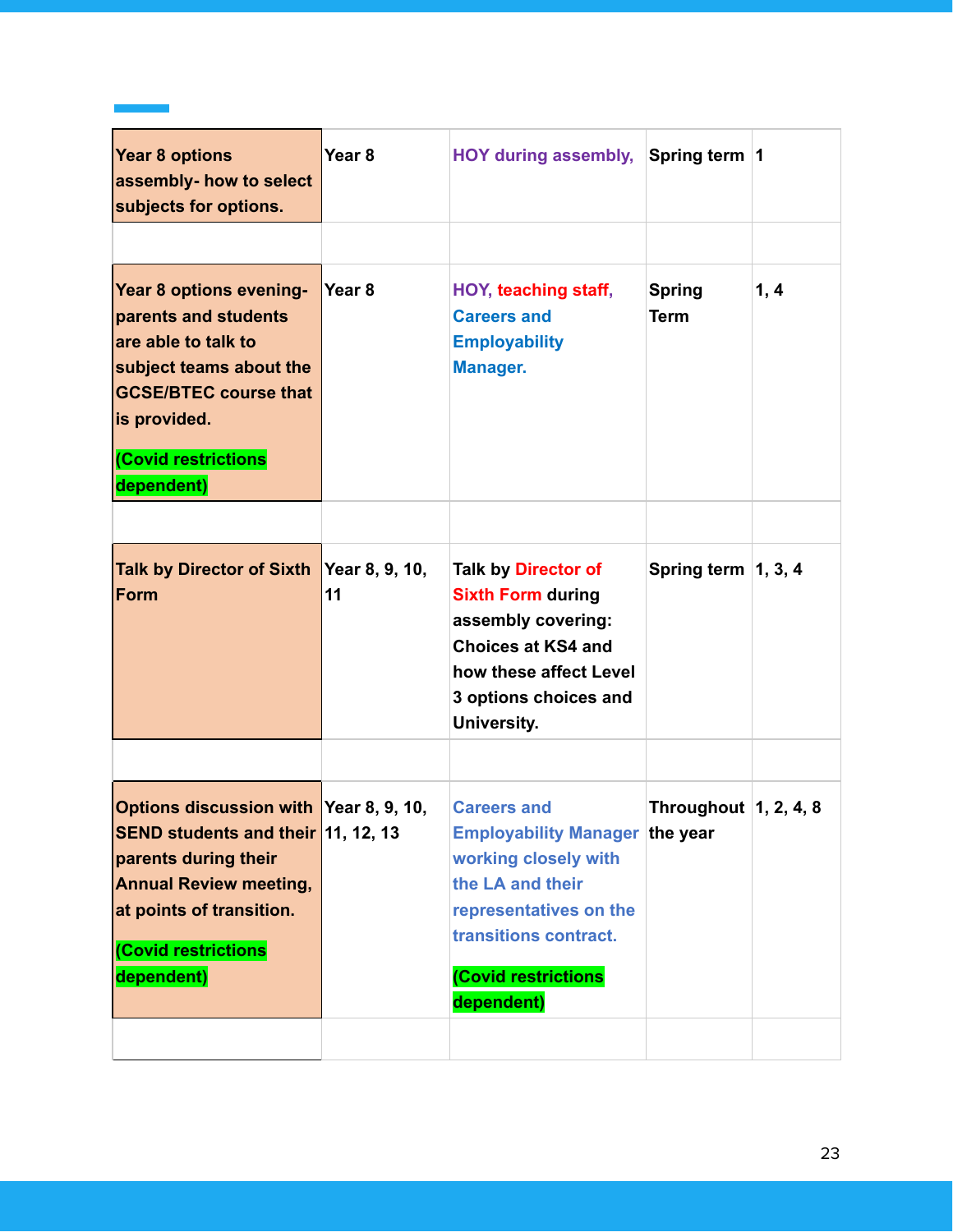| <b>Year 8 options</b><br>assembly- how to select<br>subjects for options.                                                                                                                                     | Year <sub>8</sub>    | HOY during assembly, Spring term  1                                                                                                                                                             |                                     |      |
|---------------------------------------------------------------------------------------------------------------------------------------------------------------------------------------------------------------|----------------------|-------------------------------------------------------------------------------------------------------------------------------------------------------------------------------------------------|-------------------------------------|------|
| Year 8 options evening-<br>parents and students<br>are able to talk to<br>subject teams about the<br><b>GCSE/BTEC course that</b><br>is provided.<br>(Covid restrictions<br>dependent)                        | Year <sub>8</sub>    | HOY, teaching staff,<br><b>Careers and</b><br><b>Employability</b><br><b>Manager.</b>                                                                                                           | <b>Spring</b><br><b>Term</b>        | 1, 4 |
| <b>Talk by Director of Sixth</b><br>Form                                                                                                                                                                      | Year 8, 9, 10,<br>11 | <b>Talk by Director of</b><br><b>Sixth Form during</b><br>assembly covering:<br><b>Choices at KS4 and</b><br>how these affect Level<br>3 options choices and<br>University.                     | Spring term $\vert$ 1, 3, 4         |      |
| Options discussion with Year 8, 9, 10,<br><b>SEND students and their</b> 11, 12, 13<br>parents during their<br><b>Annual Review meeting,</b><br>at points of transition.<br>(Covid restrictions<br>dependent) |                      | <b>Careers and</b><br><b>Employability Manager the year</b><br>working closely with<br>the LA and their<br>representatives on the<br>transitions contract.<br>(Covid restrictions<br>dependent) | Throughout $\vert 1, 2, 4, 8 \vert$ |      |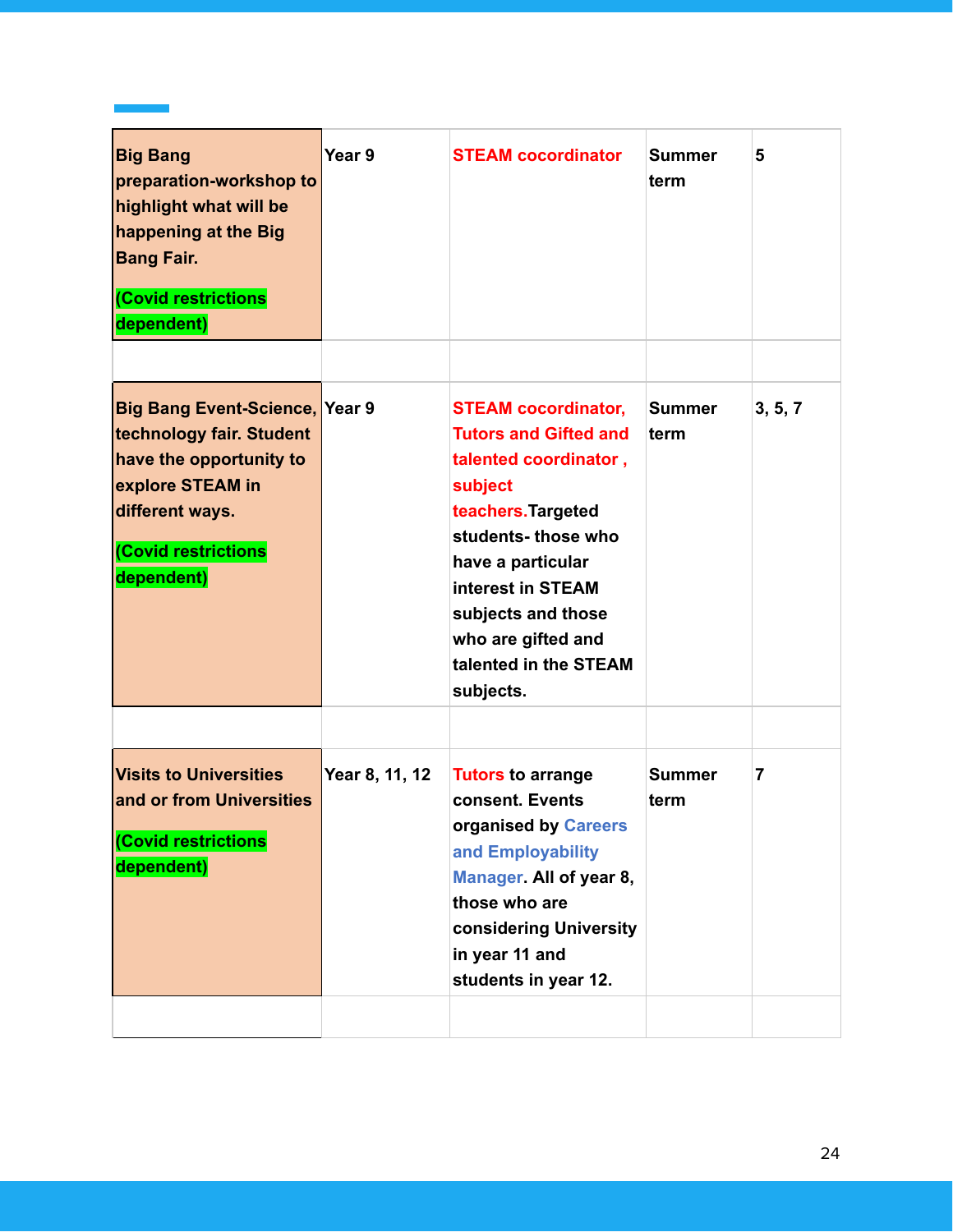| <b>Big Bang</b><br>preparation-workshop to<br>highlight what will be<br>happening at the Big<br><b>Bang Fair.</b><br>(Covid restrictions<br>dependent)                   | Year 9         | <b>STEAM cocordinator</b>                                                                                                                                                                                                                                 | <b>Summer</b><br>term | 5       |
|--------------------------------------------------------------------------------------------------------------------------------------------------------------------------|----------------|-----------------------------------------------------------------------------------------------------------------------------------------------------------------------------------------------------------------------------------------------------------|-----------------------|---------|
| <b>Big Bang Event-Science, Year 9</b><br>technology fair. Student<br>have the opportunity to<br>explore STEAM in<br>different ways.<br>(Covid restrictions<br>dependent) |                | <b>STEAM cocordinator,</b><br><b>Tutors and Gifted and</b><br>talented coordinator,<br>subject<br>teachers. Targeted<br>students-those who<br>have a particular<br>interest in STEAM<br>subjects and those<br>who are gifted and<br>talented in the STEAM | <b>Summer</b><br>term | 3, 5, 7 |
|                                                                                                                                                                          |                | subjects.                                                                                                                                                                                                                                                 |                       |         |
| <b>Visits to Universities</b><br>and or from Universities<br>(Covid restrictions<br>dependent)                                                                           | Year 8, 11, 12 | <b>Tutors to arrange</b><br>consent. Events<br>organised by Careers<br>and Employability<br>Manager. All of year 8,<br>those who are<br>considering University<br>in year 11 and<br>students in year 12.                                                  | <b>Summer</b><br>term | 7       |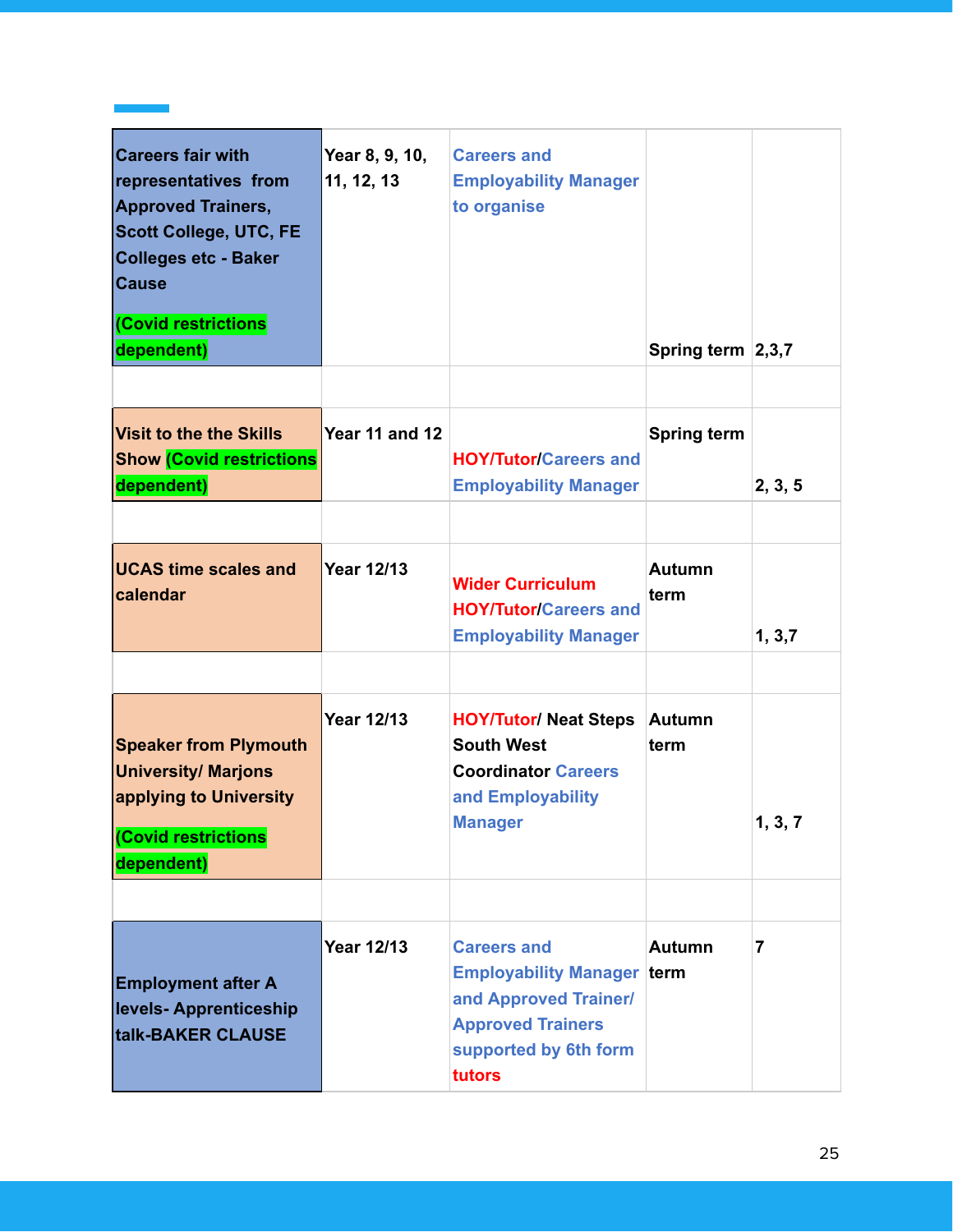| <b>Careers fair with</b><br>representatives from<br><b>Approved Trainers,</b><br><b>Scott College, UTC, FE</b><br><b>Colleges etc - Baker</b><br><b>Cause</b><br><b>Covid restrictions</b><br>dependent) | Year 8, 9, 10,<br>11, 12, 13 | <b>Careers and</b><br><b>Employability Manager</b><br>to organise                                                                               | Spring term $\vert 2,3,7 \vert$ |                |
|----------------------------------------------------------------------------------------------------------------------------------------------------------------------------------------------------------|------------------------------|-------------------------------------------------------------------------------------------------------------------------------------------------|---------------------------------|----------------|
| <b>Visit to the the Skills</b><br><b>Show (Covid restrictions</b><br>dependent)                                                                                                                          | Year 11 and 12               | <b>HOY/Tutor/Careers and</b><br><b>Employability Manager</b>                                                                                    | <b>Spring term</b>              | 2, 3, 5        |
| <b>UCAS time scales and</b><br>calendar                                                                                                                                                                  | <b>Year 12/13</b>            | <b>Wider Curriculum</b><br><b>HOY/Tutor/Careers and</b><br><b>Employability Manager</b>                                                         | <b>Autumn</b><br>term           | 1, 3, 7        |
| <b>Speaker from Plymouth</b><br><b>University/ Marjons</b><br>applying to University<br>(Covid restrictions<br>dependent)                                                                                | <b>Year 12/13</b>            | <b>HOY/Tutor/ Neat Steps</b><br><b>South West</b><br><b>Coordinator Careers</b><br>and Employability<br><b>Manager</b>                          | <b>Autumn</b><br>term           | 1, 3, 7        |
|                                                                                                                                                                                                          |                              |                                                                                                                                                 |                                 |                |
| <b>Employment after A</b><br>levels- Apprenticeship<br>talk-BAKER CLAUSE                                                                                                                                 | <b>Year 12/13</b>            | <b>Careers and</b><br><b>Employability Manager term</b><br>and Approved Trainer/<br><b>Approved Trainers</b><br>supported by 6th form<br>tutors | <b>Autumn</b>                   | $\overline{7}$ |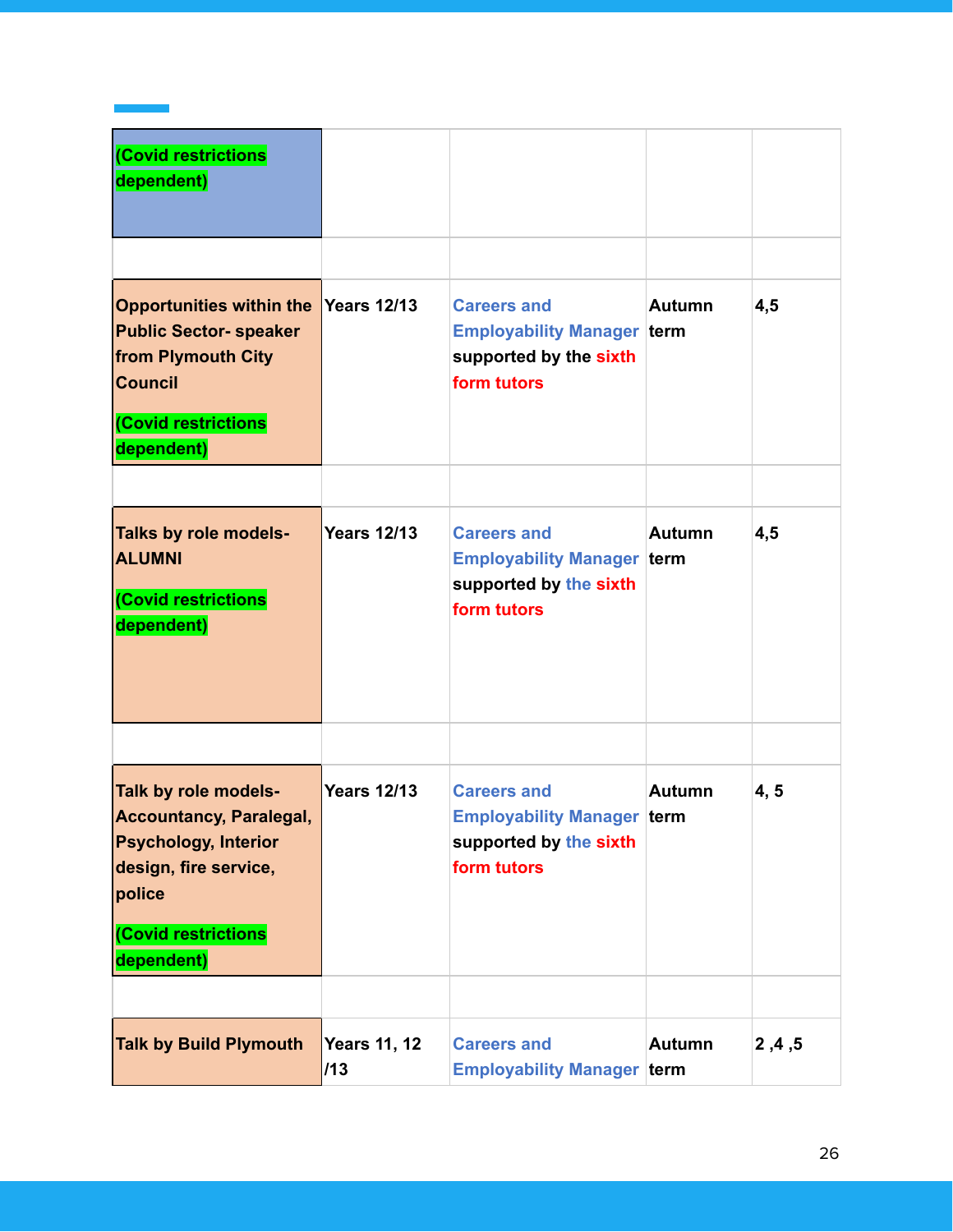| <b>Covid restrictions</b><br>dependent)                                                                                                                       |                            |                                                                                                  |               |         |
|---------------------------------------------------------------------------------------------------------------------------------------------------------------|----------------------------|--------------------------------------------------------------------------------------------------|---------------|---------|
| <b>Opportunities within the</b><br><b>Public Sector- speaker</b><br>from Plymouth City<br><b>Council</b><br>(Covid restrictions<br>dependent)                 | <b>Years 12/13</b>         | <b>Careers and</b><br><b>Employability Manager term</b><br>supported by the sixth<br>form tutors | <b>Autumn</b> | 4,5     |
| Talks by role models-<br><b>ALUMNI</b><br>(Covid restrictions<br>dependent)                                                                                   | <b>Years 12/13</b>         | <b>Careers and</b><br><b>Employability Manager term</b><br>supported by the sixth<br>form tutors | <b>Autumn</b> | 4,5     |
| Talk by role models-<br><b>Accountancy, Paralegal,</b><br><b>Psychology, Interior</b><br>design, fire service,<br>police<br>(Covid restrictions<br>dependent) | <b>Years 12/13</b>         | <b>Careers and</b><br><b>Employability Manager term</b><br>supported by the sixth<br>form tutors | Autumn        | 4, 5    |
| <b>Talk by Build Plymouth</b>                                                                                                                                 | <b>Years 11, 12</b><br>/13 | <b>Careers and</b><br><b>Employability Manager term</b>                                          | <b>Autumn</b> | 2, 4, 5 |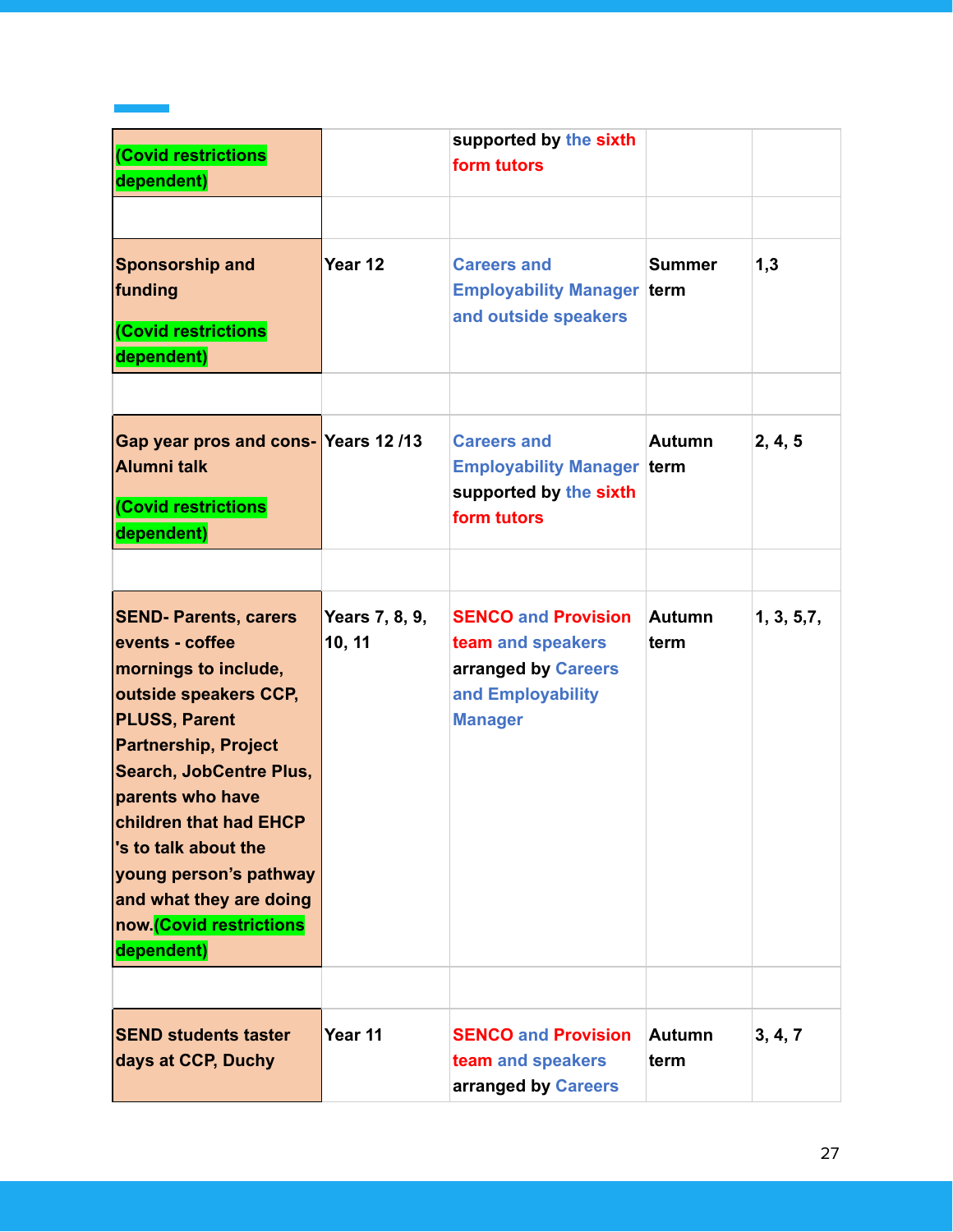| (Covid restrictions<br>dependent)                                                                                                                                                                                                                                                                                                                             |                          | supported by the sixth<br>form tutors                                                                         |                       |             |
|---------------------------------------------------------------------------------------------------------------------------------------------------------------------------------------------------------------------------------------------------------------------------------------------------------------------------------------------------------------|--------------------------|---------------------------------------------------------------------------------------------------------------|-----------------------|-------------|
| <b>Sponsorship and</b><br>funding<br>(Covid restrictions<br>dependent)                                                                                                                                                                                                                                                                                        | Year 12                  | <b>Careers and</b><br><b>Employability Manager term</b><br>and outside speakers                               | <b>Summer</b>         | 1,3         |
| Gap year pros and cons-Years 12/13<br><b>Alumni talk</b><br>(Covid restrictions<br>dependent)                                                                                                                                                                                                                                                                 |                          | <b>Careers and</b><br><b>Employability Manager term</b><br>supported by the sixth<br>form tutors              | <b>Autumn</b>         | 2, 4, 5     |
| <b>SEND- Parents, carers</b><br>events - coffee<br>mornings to include,<br>outside speakers CCP,<br><b>PLUSS, Parent</b><br><b>Partnership, Project</b><br><b>Search, JobCentre Plus,</b><br>parents who have<br>children that had EHCP<br>'s to talk about the<br>young person's pathway<br>and what they are doing<br>now.(Covid restrictions<br>dependent) | Years 7, 8, 9,<br>10, 11 | <b>SENCO and Provision</b><br>team and speakers<br>arranged by Careers<br>and Employability<br><b>Manager</b> | Autumn<br>term        | 1, 3, 5, 7, |
| <b>SEND students taster</b><br>days at CCP, Duchy                                                                                                                                                                                                                                                                                                             | Year 11                  | <b>SENCO and Provision</b><br>team and speakers<br>arranged by Careers                                        | <b>Autumn</b><br>term | 3, 4, 7     |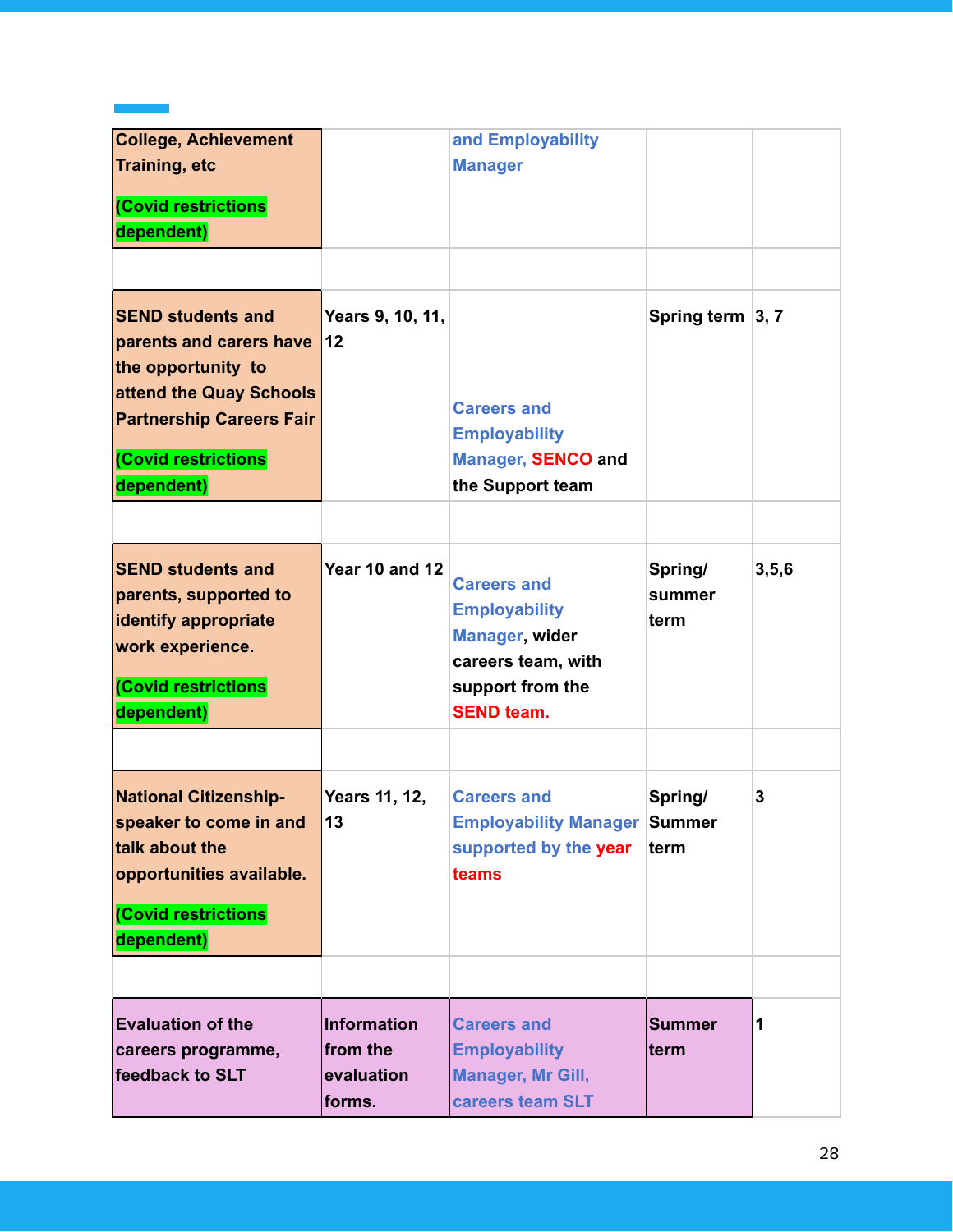| <b>College, Achievement</b><br><b>Training, etc</b><br><b>Covid restrictions</b><br>dependent)                                                                                     |                                                        | and Employability<br><b>Manager</b>                                                                                                |                           |         |
|------------------------------------------------------------------------------------------------------------------------------------------------------------------------------------|--------------------------------------------------------|------------------------------------------------------------------------------------------------------------------------------------|---------------------------|---------|
| <b>SEND students and</b><br>parents and carers have<br>the opportunity to<br>attend the Quay Schools<br><b>Partnership Careers Fair</b><br><b>Covid restrictions</b><br>dependent) | Years 9, 10, 11,<br>12                                 | <b>Careers and</b><br><b>Employability</b><br><b>Manager, SENCO and</b><br>the Support team                                        | Spring term 3, 7          |         |
| <b>SEND students and</b><br>parents, supported to<br>identify appropriate<br>work experience.<br><b>Covid restrictions</b><br>dependent)                                           | <b>Year 10 and 12</b>                                  | <b>Careers and</b><br><b>Employability</b><br><b>Manager, wider</b><br>careers team, with<br>support from the<br><b>SEND team.</b> | Spring/<br>summer<br>term | 3, 5, 6 |
| <b>National Citizenship-</b><br>speaker to come in and<br>talk about the<br>opportunities available.<br><b>Covid restrictions</b><br>dependent)                                    | Years 11, 12,<br>13                                    | <b>Careers and</b><br><b>Employability Manager Summer</b><br>supported by the year<br>teams                                        | Spring/<br>term           | 3       |
| <b>Evaluation of the</b><br>careers programme,<br>feedback to SLT                                                                                                                  | <b>Information</b><br>from the<br>evaluation<br>forms. | <b>Careers and</b><br><b>Employability</b><br>Manager, Mr Gill,<br>careers team SLT                                                | <b>Summer</b><br>term     | 1       |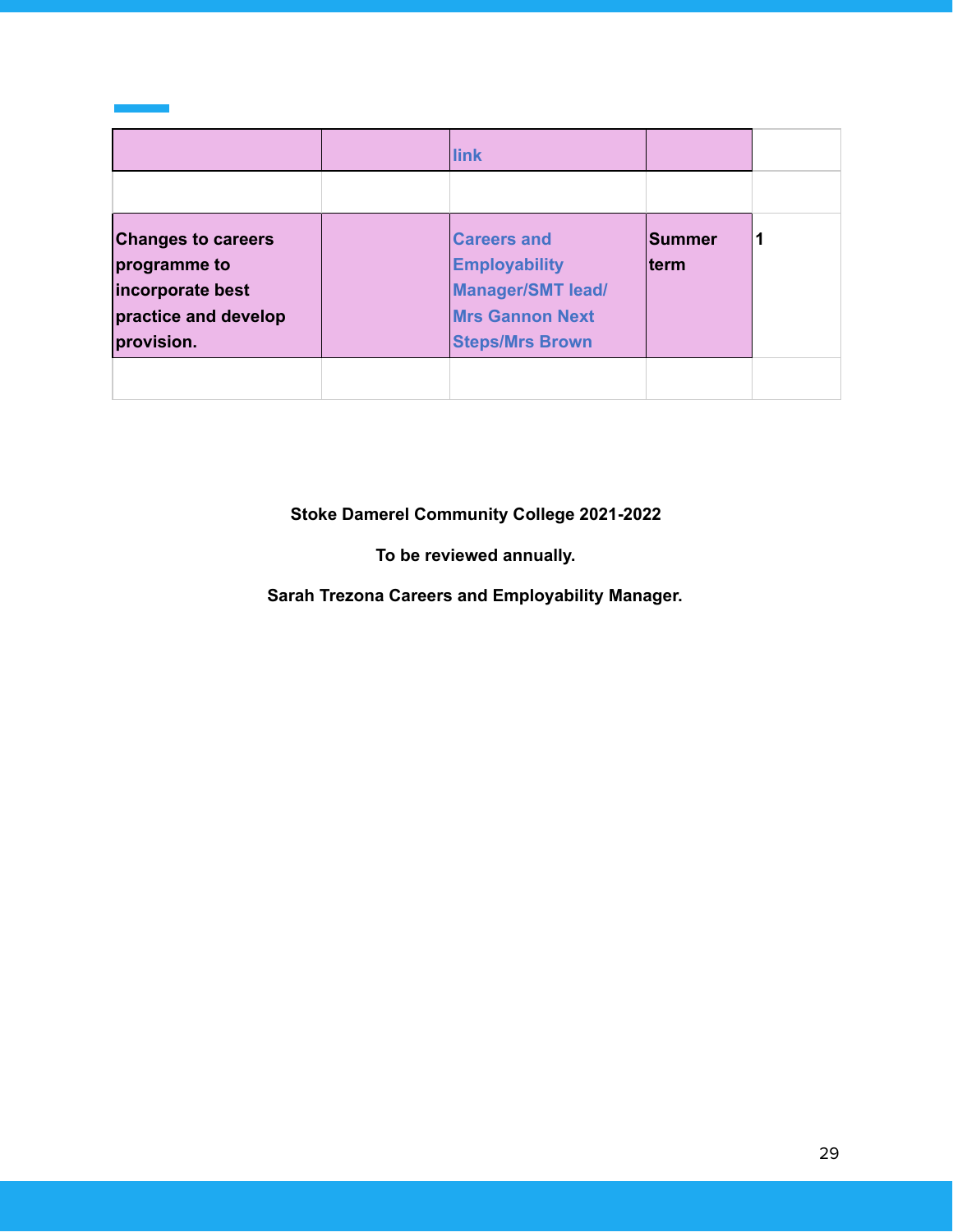|                                                                                                     | link                                                                                                                       |                        |  |
|-----------------------------------------------------------------------------------------------------|----------------------------------------------------------------------------------------------------------------------------|------------------------|--|
|                                                                                                     |                                                                                                                            |                        |  |
| <b>Changes to careers</b><br>programme to<br>incorporate best<br>practice and develop<br>provision. | <b>Careers and</b><br><b>Employability</b><br><b>Manager/SMT lead/</b><br><b>Mrs Gannon Next</b><br><b>Steps/Mrs Brown</b> | <b>Summer</b><br>lterm |  |
|                                                                                                     |                                                                                                                            |                        |  |

**Stoke Damerel Community College 2021-2022**

**To be reviewed annually.**

**Sarah Trezona Careers and Employability Manager.**